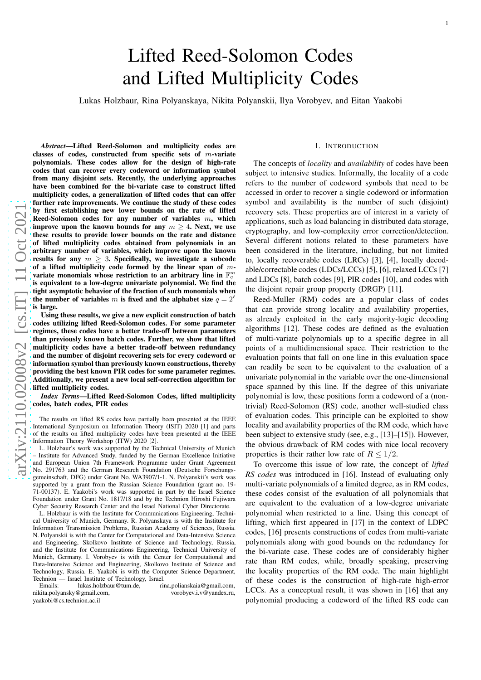# Lifted Reed-Solomon Codes and Lifted Multiplicity Codes

Lukas Holzbaur, Rina Polyanskaya, Nikita Polyanskii, Ilya Vorobyev, and Eitan Yaakobi

*Abstract*—Lifted Reed-Solomon and multiplicity codes are classes of codes, constructed from specific sets of  $m$ -variate polynomials. These codes allow for the design of high-rate codes that can recover every codeword or information symbol from many disjoint sets. Recently, the underlying approaches have been combined for the bi-variate case to construct lifted multiplicity codes, a generalization of lifted codes that can offer further rate improvements. We continue the study of these codes by first establishing new lower bounds on the rate of lifted Reed-Solomon codes for any number of variables  $m$ , which improve upon the known bounds for any  $m \geq 4$ . Next, we use these results to provide lower bounds on the rate and distanc e of lifted multiplicity codes obtained from polynomials in a n arbitrary number of variables, which improve upon the known results for any  $m \geq 3$ . Specifically, we investigate a subcode of a lifted multiplicity code formed by the linear span of  $m$ variate monomials whose restriction to an arbitrary line in  $\mathbb{F}_q^m$ is equivalent to a low-degree univariate polynomial. We find the tight asymptotic behavior of the fraction of such monomials when the number of variables m is fixed and the alphabet size  $q = 2^{\ell}$ is large.

Using these results, we give a new explicit construction of batch codes utilizing lifted Reed-Solomon codes. For some parameter regimes, these codes have a better trade-off between parameters than previously known batch codes. Further, we show that lifted multiplicity codes have a better trade-off between redundancy and the number of disjoint recovering sets for every codeword or information symbol than previously known constructions, thereby providing the best known PIR codes for some parameter regimes. Additionally, we present a new local self-correction algorithm for lifted multiplicity codes.

#### *Index Terms*—Lifted Reed-Solomon Codes, lifted multiplicity codes, batch codes, PIR codes

The results on lifted RS codes have partially been presented at the IEEE International Symposium on Information Theory (ISIT) 2020 [\[1\]](#page-16-0) and parts of the results on lifted multiplicity codes have been presented at the IEEE Information Theory Workshop (ITW) 2020 [\[2\]](#page-16-1).

L. Holzbaur's work was supported by the Technical University of Munich – Institute for Advanced Study, funded by the German Excellence Initiative and European Union 7th Framework Programme under Grant Agreement No. 291763 and the German Research Foundation (Deutsche Forschungsgemeinschaft, DFG) under Grant No. WA3907/1-1. N. Polyanskii's work was supported by a grant from the Russian Science Foundation (grant no. 19-71-00137). E. Yaakobi's work was supported in part by the Israel Science Foundation under Grant No. 1817/18 and by the Technion Hiroshi Fujiwara Cyber Security Research Center and the Israel National Cyber Directorate.

L. Holzbaur is with the Institute for Communications Engineering, Technical University of Munich, Germany. R. Polyanskaya is with the Institute for Information Transmission Problems, Russian Academy of Sciences, Russia. N. Polyanskii is with the Center for Computational and Data-Intensive Science and Engineering, Skolkovo Institute of Science and Technology, Russia, and the Institute for Communications Engineering, Technical University of Munich, Germany. I. Vorobyev is with the Center for Computational and Data-Intensive Science and Engineering, Skolkovo Institute of Science and Technology, Russia. E. Yaakobi is with the Computer Science Department, Technion — Israel Institute of Technology, Israel.

Emails: lukas.holzbaur@tum.de, rina.polianskaia@gmail.com, nikita.polyansky@gmail.com, vorobyev.i.v@yandex.ru, yaakobi@cs.technion.ac.il

#### I. INTRODUCTION

The concepts of *locality* and *availability* of codes have been subject to intensive studies. Informally, the locality of a code refers to the number of codeword symbols that need to be accessed in order to recover a single codeword or informatio n symbol and availability is the number of such (disjoint) recovery sets. These properties are of interest in a variety of applications, such as load balancing in distributed data storage, cryptography, and low-complexity error correction/detection. Several different notions related to these parameters have been considered in the literature, including, but not limited to, locally recoverable codes (LRCs) [\[3\]](#page-16-2), [\[4\]](#page-16-3), locally decodable/correctable codes (LDCs/LCCs) [\[5\]](#page-16-4), [\[6\]](#page-16-5), relaxed LCCs [\[7\]](#page-16-6) and LDCs [\[8\]](#page-16-7), batch codes [\[9\]](#page-16-8), PIR codes [\[10\]](#page-16-9), and codes with the disjoint repair group property (DRGP) [\[11\]](#page-16-10).

Reed-Muller (RM) codes are a popular class of codes that can provide strong locality and availability properties, as already exploited in the early majority-logic decoding algorithms [\[12\]](#page-16-11). These codes are defined as the evaluation of multi-variate polynomials up to a specific degree in all points of a multidimensional space. Their restriction to th e evaluation points that fall on one line in this evaluation space can readily be seen to be equivalent to the evaluation of a univariate polynomial in the variable over the one-dimensional space spanned by this line. If the degree of this univariate polynomial is low, these positions form a codeword of a (nontrivial) Reed-Solomon (RS) code, another well-studied class of evaluation codes. This principle can be exploited to show locality and availability properties of the RM code, which have been subject to extensive study (see, e.g., [\[13\]](#page-16-12)–[\[15\]](#page-16-13)). However, the obvious drawback of RM codes with nice local recovery properties is their rather low rate of  $R \leq 1/2$ .

To overcome this issue of low rate, the concept of *lifted RS codes* was introduced in [\[16\]](#page-16-14). Instead of evaluating only multi-variate polynomials of a limited degree, as in RM codes, these codes consist of the evaluation of all polynomials tha t are equivalent to the evaluation of a low-degree univariate polynomial when restricted to a line. Using this concept of lifting, which first appeared in [\[17\]](#page-16-15) in the context of LDPC codes, [\[16\]](#page-16-14) presents constructions of codes from multi-variate polynomials along with good bounds on the redundancy for the bi-variate case. These codes are of considerably higher rate than RM codes, while, broadly speaking, preserving the locality properties of the RM code. The main highlight of these codes is the construction of high-rate high-error LCCs. As a conceptual result, it was shown in [\[16\]](#page-16-14) that any polynomial producing a codeword of the lifted RS code can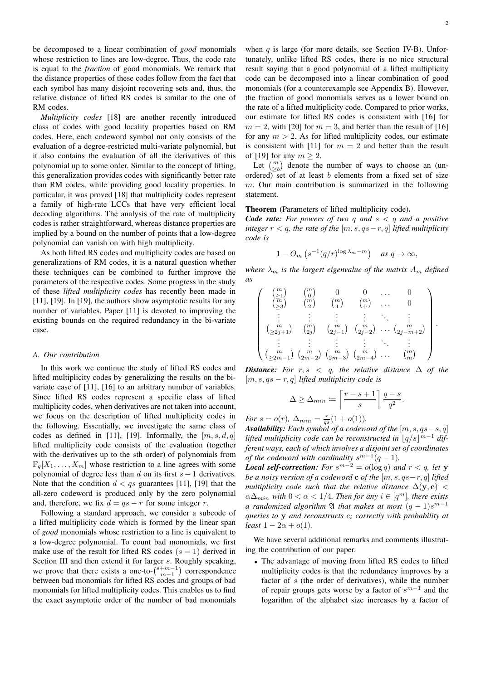be decomposed to a linear combination of *good* monomials whose restriction to lines are low-degree. Thus, the code rate is equal to the *fraction* of good monomials. We remark that the distance properties of these codes follow from the fact that each symbol has many disjoint recovering sets and, thus, the relative distance of lifted RS codes is similar to the one of RM codes.

*Multiplicity codes* [\[18\]](#page-16-16) are another recently introduced class of codes with good locality properties based on RM codes. Here, each codeword symbol not only consists of the evaluation of a degree-restricted multi-variate polynomial, but it also contains the evaluation of all the derivatives of this polynomial up to some order. Similar to the concept of lifting, this generalization provides codes with significantly better rate than RM codes, while providing good locality properties. In particular, it was proved [\[18\]](#page-16-16) that multiplicity codes represent a family of high-rate LCCs that have very efficient local decoding algorithms. The analysis of the rate of multiplicity codes is rather straightforward, whereas distance properties are implied by a bound on the number of points that a low-degree polynomial can vanish on with high multiplicity.

As both lifted RS codes and multiplicity codes are based on generalizations of RM codes, it is a natural question whether these techniques can be combined to further improve the parameters of the respective codes. Some progress in the study of these *lifted multiplicity codes* has recently been made in [\[11\]](#page-16-10), [\[19\]](#page-16-17). In [19], the authors show asymptotic results for any number of variables. Paper [\[11\]](#page-16-10) is devoted to improving the existing bounds on the required redundancy in the bi-variate case.

#### *A. Our contribution*

In this work we continue the study of lifted RS codes and lifted multiplicity codes by generalizing the results on the bivariate case of [\[11\]](#page-16-10), [\[16\]](#page-16-14) to an arbitrary number of variables. Since lifted RS codes represent a specific class of lifted multiplicity codes, when derivatives are not taken into account, we focus on the description of lifted multiplicity codes in the following. Essentially, we investigate the same class of codes as defined in [\[11\]](#page-16-10), [\[19\]](#page-16-17). Informally, the  $[m, s, d, q]$ lifted multiplicity code consists of the evaluation (together with the derivatives up to the sth order) of polynomials from  $\mathbb{F}_q[X_1, \ldots, X_m]$  whose restriction to a line agrees with some polynomial of degree less than d on its first  $s - 1$  derivatives. Note that the condition  $d < qs$  guarantees [\[11\]](#page-16-10), [\[19\]](#page-16-17) that the all-zero codeword is produced only by the zero polynomial and, therefore, we fix  $d = qs - r$  for some integer r.

Following a standard approach, we consider a subcode of a lifted multiplicity code which is formed by the linear span of *good* monomials whose restriction to a line is equivalent to a low-degree polynomial. To count bad monomials, we first make use of the result for lifted RS codes  $(s = 1)$  derived in Section [III](#page-4-0) and then extend it for larger s. Roughly speaking, we prove that there exists a one-to- $\binom{s+m-1}{m-1}$  correspondence between bad monomials for lifted RS codes and groups of bad monomials for lifted multiplicity codes. This enables us to find the exact asymptotic order of the number of bad monomials

when  $q$  is large (for more details, see Section [IV-B\)](#page-7-0). Unfortunately, unlike lifted RS codes, there is no nice structural result saying that a good polynomial of a lifted multiplicity code can be decomposed into a linear combination of good monomials (for a counterexample see Appendix [B\)](#page-17-0). However, the fraction of good monomials serves as a lower bound on the rate of a lifted multiplicity code. Compared to prior works, our estimate for lifted RS codes is consistent with [\[16\]](#page-16-14) for  $m = 2$ , with [\[20\]](#page-16-18) for  $m = 3$ , and better than the result of [\[16\]](#page-16-14) for any  $m > 2$ . As for lifted multiplicity codes, our estimate is consistent with [\[11\]](#page-16-10) for  $m = 2$  and better than the result of [\[19\]](#page-16-17) for any  $m \geq 2$ .

Let  $\binom{m}{\geq b}$  denote the number of ways to choose an (unordered) set of at least  $b$  elements from a fixed set of size  $m$ . Our main contribution is summarized in the following statement.

## Theorem (Parameters of lifted multiplicity code).

*Code rate:* For powers of two q and  $s < q$  and a positive *integer*  $r < q$ *, the rate of the*  $[m, s, qs - r, q]$  *lifted multiplicity code is*

$$
1 - O_m\left(s^{-1}(q/r)^{\log \lambda_m - m}\right) \quad \text{as } q \to \infty,
$$

*where*  $\lambda_m$  *is the largest eigenvalue of the matrix*  $A_m$  *defined as*

$$
\begin{pmatrix}\n\begin{pmatrix}\nm \\
2\n\end{pmatrix} & \begin{pmatrix}\nm \\
0\n\end{pmatrix} & 0 & 0 & \dots & 0 \\
\begin{pmatrix}\nm \\
2\n\end{pmatrix} & \begin{pmatrix}\nm \\
2\n\end{pmatrix} & \begin{pmatrix}\nm \\
1\n\end{pmatrix} & \begin{pmatrix}\nm \\
0\n\end{pmatrix} & \dots & 0 \\
\vdots & \vdots & \vdots & \ddots & \vdots \\
\begin{pmatrix}\nm \\
2\n\end{pmatrix} & \begin{pmatrix}\nm \\
2\n\end{pmatrix} & \begin{pmatrix}\nm \\
2\n\end{pmatrix} & \begin{pmatrix}\nm \\
2\n\end{pmatrix} & \begin{pmatrix}\nm \\
2\n\end{pmatrix} & \dots & \begin{pmatrix}\nm \\
2\n\end{pmatrix} \\
\vdots & \vdots & \vdots & \ddots & \vdots \\
\begin{pmatrix}\nm \\
2\n\end{pmatrix} & \begin{pmatrix}\nm \\
2\n\end{pmatrix} & \begin{pmatrix}\nm \\
2\n\end{pmatrix} & \begin{pmatrix}\nm \\
2\n\end{pmatrix} & \dots & \begin{pmatrix}\nm \\
m\n\end{pmatrix}\n\end{pmatrix}.
$$

*Distance: For*  $r, s < q$ *, the relative distance*  $\Delta$  *of the* [m, s, qs − r, q] *lifted multiplicity code is*

$$
\Delta \geq \Delta_{min} \coloneqq \left\lceil \frac{r - s + 1}{s} \right\rceil \frac{q - s}{q^2}.
$$

*For*  $s = o(r)$ ,  $\Delta_{min} = \frac{r}{qs}(1 + o(1))$ *.* 

*Availability: Each symbol of a codeword of the* [m, s, qs−s, q] lifted multiplicity code can be reconstructed in  $\lfloor q/s \rfloor^{m-1}$  dif*ferent ways, each of which involves a disjoint set of coordinates of the codeword with cardinality*  $s^{m-1}(q-1)$ *.* 

*Local self-correction:* For  $s^{m-2} = o(\log q)$  and  $r < q$ , let y *be a noisy version of a codeword* c *of the* [m, s, qs−r, q] *lifted multiplicity code such that the relative distance*  $\Delta(\mathbf{y}, \mathbf{c})$  <  $\alpha\Delta_{min}$  with  $0 < \alpha < 1/4$ . Then for any  $i \in [q^m]$ , there exists *a* randomized algorithm  $\mathfrak A$  that makes at most  $(q-1)s^{m-1}$ *queries to* y *and reconstructs* c<sup>i</sup> *correctly with probability at least*  $1 - 2\alpha + o(1)$ *.* 

We have several additional remarks and comments illustrating the contribution of our paper.

• The advantage of moving from lifted RS codes to lifted multiplicity codes is that the redundancy improves by a factor of s (the order of derivatives), while the number of repair groups gets worse by a factor of  $s^{m-1}$  and the logarithm of the alphabet size increases by a factor of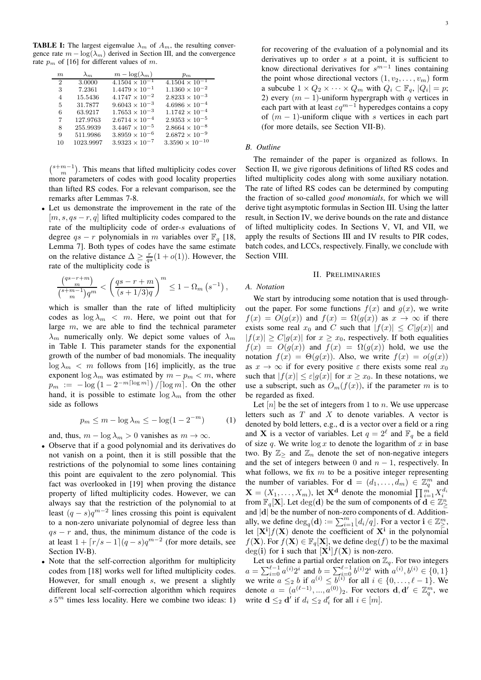<span id="page-2-0"></span>**TABLE I:** The largest eigenvalue  $\lambda_m$  of  $A_m$ , the resulting convergence rate  $m - \log(\lambda_m)$  derived in Section [III,](#page-4-0) and the convergence rate  $p_m$  of [\[16\]](#page-16-14) for different values of m.

| m              | $\lambda_m$ | $m - \log(\lambda_m)$   | $p_m$                    |
|----------------|-------------|-------------------------|--------------------------|
| $\overline{2}$ | 3.0000      | $4.1504 \times 10^{-1}$ | $4.1504 \times 10^{-1}$  |
| 3              | 7.2361      | $1.4479 \times 10^{-1}$ | $1.1360 \times 10^{-2}$  |
| 4              | 15.5436     | $4.1747 \times 10^{-2}$ | $2.8233 \times 10^{-3}$  |
| 5              | 31.7877     | $9.6043 \times 10^{-3}$ | $4.6986 \times 10^{-4}$  |
| 6              | 63.9217     | $1.7653 \times 10^{-3}$ | $1.1742 \times 10^{-4}$  |
| 7              | 127.9763    | $2.6714 \times 10^{-4}$ | $2.9353 \times 10^{-5}$  |
| 8              | 255.9939    | $3.4467 \times 10^{-5}$ | $2.8664 \times 10^{-8}$  |
| 9              | 511.9986    | $3.8959 \times 10^{-6}$ | $2.6872 \times 10^{-9}$  |
| 10             | 1023.9997   | $3.9323 \times 10^{-7}$ | $3.3590 \times 10^{-10}$ |

 $\binom{s+m-1}{m}$ . This means that lifted multiplicity codes cover more parameters of codes with good locality properties than lifted RS codes. For a relevant comparison, see the remarks after Lemmas [7-](#page-8-0)[8.](#page-9-0)

• Let us demonstrate the improvement in the rate of the  $[m, s, qs - r, q]$  lifted multiplicity codes compared to the rate of the multiplicity code of order-s evaluations of degree  $qs - r$  polynomials in m variables over  $\mathbb{F}_q$  [\[18,](#page-16-16) Lemma 7]. Both types of codes have the same estimate on the relative distance  $\Delta \geq \frac{r}{qs}(1 + o(1))$ . However, the rate of the multiplicity code is

$$
\frac{\binom{qs-r+m}{m}}{\binom{s+m-1}{m}q^m} < \left(\frac{qs-r+m}{(s+1/3)q}\right)^m \le 1 - \Omega_m\left(s^{-1}\right),
$$

which is smaller than the rate of lifted multiplicity codes as  $\log \lambda_m < m$ . Here, we point out that for large m, we are able to find the technical parameter  $\lambda_m$  numerically only. We depict some values of  $\lambda_m$ in Table [I.](#page-2-0) This parameter stands for the exponential growth of the number of bad monomials. The inequality  $\log \lambda_m < m$  follows from [\[16\]](#page-16-14) implicitly, as the true exponent  $\log \lambda_m$  was estimated by  $m - p_m < m$ , where  $p_m := -\log\left(1 - 2^{-m\lceil \log m \rceil}\right) / \lceil \log m \rceil$ . On the other hand, it is possible to estimate  $\log \lambda_m$  from the other side as follows

$$
p_m \le m - \log \lambda_m \le -\log(1 - 2^{-m}) \tag{1}
$$

and, thus,  $m - \log \lambda_m > 0$  vanishes as  $m \to \infty$ .

- Observe that if a good polynomial and its derivatives do not vanish on a point, then it is still possible that the restrictions of the polynomial to some lines containing this point are equivalent to the zero polynomial. This fact was overlooked in [\[19\]](#page-16-17) when proving the distance property of lifted multiplicity codes. However, we can always say that the restriction of the polynomial to at least  $(q - s)q^{m-2}$  lines crossing this point is equivalent to a non-zero univariate polynomial of degree less than  $qs - r$  and, thus, the minimum distance of the code is at least  $1 + \lceil r/s - 1 \rceil (q - s) q^{m-2}$  (for more details, see Section [IV-B\)](#page-7-0).
- Note that the self-correction algorithm for multiplicity codes from [\[18\]](#page-16-16) works well for lifted multiplicity codes. However, for small enough  $s$ , we present a slightly different local self-correction algorithm which requires  $s$  5<sup>m</sup> times less locality. Here we combine two ideas: 1)

for recovering of the evaluation of a polynomial and its derivatives up to order  $s$  at a point, it is sufficient to know directional derivatives for  $s^{m-1}$  lines containing the point whose directional vectors  $(1, v_2, \dots, v_m)$  form a subcube  $1 \times Q_2 \times \cdots \times Q_m$  with  $Q_i \subset \mathbb{F}_q$ ,  $|Q_i| = p$ ; 2) every  $(m - 1)$ -uniform hypergraph with q vertices in each part with at least  $\varepsilon q^{m-1}$  hyperedges contains a copy of  $(m - 1)$ -uniform clique with s vertices in each part (for more details, see Section [VII-B\)](#page-14-0).

## *B. Outline*

The remainder of the paper is organized as follows. In Section [II,](#page-2-1) we give rigorous definitions of lifted RS codes and lifted multiplicity codes along with some auxiliary notation. The rate of lifted RS codes can be determined by computing the fraction of so-called *good monomials*, for which we will derive tight asymptotic formulas in Section [III.](#page-4-0) Using the latter result, in Section [IV,](#page-7-1) we derive bounds on the rate and distance of lifted multiplicity codes. In Sections [V,](#page-8-1) [VI,](#page-11-0) and [VII,](#page-14-1) we apply the results of Sections [III](#page-4-0) and [IV](#page-7-1) results to PIR codes, batch codes, and LCCs, respectively. Finally, we conclude with Section [VIII.](#page-15-0)

#### II. PRELIMINARIES

## <span id="page-2-1"></span>*A. Notation*

We start by introducing some notation that is used throughout the paper. For some functions  $f(x)$  and  $g(x)$ , we write  $f(x) = O(g(x))$  and  $f(x) = \Omega(g(x))$  as  $x \to \infty$  if there exists some real  $x_0$  and C such that  $|f(x)| \leq C|g(x)|$  and  $|f(x)| \ge C|g(x)|$  for  $x \ge x_0$ , respectively. If both equalities  $f(x) = O(g(x))$  and  $f(x) = \Omega(g(x))$  hold, we use the notation  $f(x) = \Theta(g(x))$ . Also, we write  $f(x) = o(g(x))$ as  $x \to \infty$  if for every positive  $\varepsilon$  there exists some real  $x_0$ such that  $|f(x)| \leq \varepsilon |q(x)|$  for  $x \geq x_0$ . In these notations, we use a subscript, such as  $O_m(f(x))$ , if the parameter m is to be regarded as fixed.

<span id="page-2-2"></span>Let  $[n]$  be the set of integers from 1 to n. We use uppercase letters such as  $T$  and  $X$  to denote variables. A vector is denoted by bold letters, e.g., d is a vector over a field or a ring and **X** is a vector of variables. Let  $q = 2^{\ell}$  and  $\mathbb{F}_q$  be a field of size q. We write  $\log x$  to denote the logarithm of x in base two. By  $\mathbb{Z}_{\geq}$  and  $\mathbb{Z}_{n}$  denote the set of non-negative integers and the set of integers between 0 and  $n - 1$ , respectively. In what follows, we fix  $m$  to be a positive integer representing the number of variables. For  $\mathbf{d} = (d_1, \dots, d_m) \in \mathbb{Z}_q^m$  and  $\mathbf{X} = (X_1, \dots, X_m)$ , let  $\mathbf{X}^{\mathbf{d}}$  denote the monomial  $\prod_{i=1}^{m} X_i^{d_i}$ from  $\mathbb{F}_q[\mathbf{X}]$ . Let  $\deg(\mathbf{d})$  be the sum of components of  $\mathbf{d} \in \mathbb{Z}_\geq^n$ and  $|d|$  be the number of non-zero components of d. Additionally, we define  $\deg_q(\mathbf{d}) := \sum_{i=1}^m \lfloor d_i/q \rfloor$ . For a vector  $\mathbf{i} \in \mathbb{Z}_{\geq 1}^m$ let  $[X^i]f(X)$  denote the coefficient of  $X^i$  in the polynomial  $f(\mathbf{X})$ . For  $f(\mathbf{X}) \in \mathbb{F}_q[\mathbf{X}]$ , we define  $\deg(f)$  to be the maximal  $\deg(i)$  for **i** such that  $[X^i]f(X)$  is non-zero.

Let us define a partial order relation on  $\mathbb{Z}_q$ . For two integers  $a = \sum_{i=0}^{\ell-1} a^{(i)} 2^i$  and  $b = \sum_{i=0}^{\ell-1} b^{(i)} 2^i$  with  $a^{(i)}, b^{(i)} \in \{0, 1\}$ we write  $a \leq b$  if  $a^{(i)} \leq b^{(i)}$  for all  $i \in \{0, ..., \ell - 1\}$ . We denote  $a = (a^{(\ell-1)},...,a^{(0)})_2$ . For vectors  $\mathbf{d}, \mathbf{d}' \in \mathbb{Z}_q^m$ , we write  $\mathbf{d} \leq_2 \mathbf{d}'$  if  $d_i \leq_2 d'_i$  for all  $i \in [m]$ .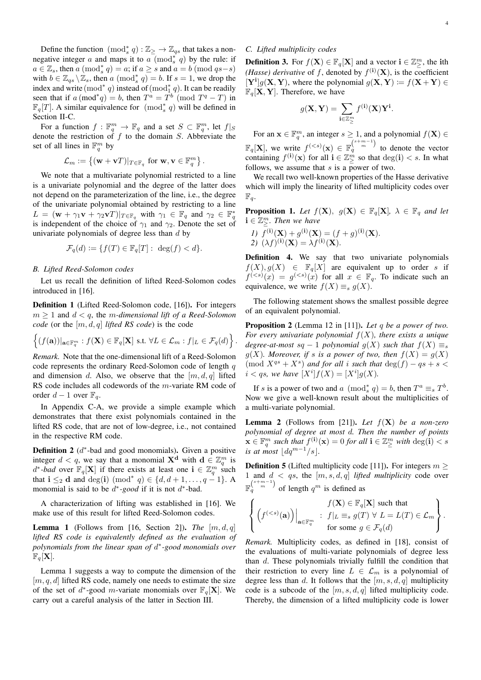Define the function  $(\text{mod}_s^* q) : \mathbb{Z}_{\geq} \to \mathbb{Z}_{qs}$  that takes a nonnegative integer a and maps it to a  $(\text{mod}_s^* q)$  by the rule: if  $a \in \mathbb{Z}_s$ , then  $a \pmod{s} q = a$ ; if  $a \ge s$  and  $a = b \pmod{qs-s}$ with  $b \in \mathbb{Z}_{qs} \setminus \mathbb{Z}_s$ , then  $a \pmod{s}$   $q$  =  $b$ . If  $s = 1$ , we drop the index and write  $(\bmod^*q)$  instead of  $(\bmod^*q)$ . It can be readily seen that if  $a \pmod{^*q} = b$ , then  $T^a = T^b \pmod{T^q - T}$  in  $\mathbb{F}_q[T]$ . A similar equivalence for  $(\text{mod}_s^* q)$  will be defined in Section [II-C.](#page-3-0)

For a function  $f : \mathbb{F}_q^m \to \mathbb{F}_q$  and a set  $S \subset \mathbb{F}_q^m$ , let  $f|_S$ denote the restriction of  $f$  to the domain S. Abbreviate the set of all lines in  $\mathbb{F}_q^m$  by

$$
\mathcal{L}_m:=\left\{(\mathbf{w}+\mathbf{v}T)|_{T\in\mathbb{F}_q}\text{ for }\mathbf{w},\mathbf{v}\in\mathbb{F}_q^m\right\}.
$$

We note that a multivariate polynomial restricted to a line is a univariate polynomial and the degree of the latter does not depend on the parameterization of the line, i.e., the degree of the univariate polynomial obtained by restricting to a line  $L = (\mathbf{w} + \gamma_1 \mathbf{v} + \gamma_2 \mathbf{v}T)|_{T \in \mathbb{F}_q}$  with  $\gamma_1 \in \mathbb{F}_q$  and  $\gamma_2 \in \mathbb{F}_q^*$ is independent of the choice of  $\gamma_1$  and  $\gamma_2$ . Denote the set of univariate polynomials of degree less than  $d$  by

$$
\mathcal{F}_q(d):=\{f(T)\in \mathbb{F}_q[T]:\ \deg(f)
$$

### *B. Lifted Reed-Solomon codes*

Let us recall the definition of lifted Reed-Solomon codes introduced in [\[16\]](#page-16-14).

<span id="page-3-6"></span>Definition 1 (Lifted Reed-Solomon code, [\[16\]](#page-16-14)). For integers  $m \geq 1$  and  $d \leq a$ , the m-dimensional lift of a Reed-Solomon *code* (or the  $[m, d, q]$  *lifted RS code*) is the code

$$
\left\{ (f(\mathbf{a}))|_{\mathbf{a}\in\mathbb{F}_q^m} : f(\mathbf{X}) \in \mathbb{F}_q[\mathbf{X}] \text{ s.t. } \forall L \in \mathcal{L}_m : f|_L \in \mathcal{F}_q(d) \right\}
$$

*Remark.* Note that the one-dimensional lift of a Reed-Solomon code represents the ordinary Reed-Solomon code of length  $q$ and dimension d. Also, we observe that the  $[m, d, q]$  lifted RS code includes all codewords of the m-variate RM code of order  $d-1$  over  $\mathbb{F}_q$ .

In Appendix [C-A,](#page-18-0) we provide a simple example which demonstrates that there exist polynomials contained in the lifted RS code, that are not of low-degree, i.e., not contained in the respective RM code.

<span id="page-3-3"></span>**Definition 2**  $(d^*$ -bad and good monomials). Given a positive integer  $d < q$ , we say that a monomial  $X^d$  with  $d \in \mathbb{Z}_q^m$  is  $d^*$ -*bad* over  $\mathbb{F}_q[X]$  if there exists at least one  $\mathbf{i} \in \mathbb{Z}_q^m$  such that  $\mathbf{i} \leq_2 \mathbf{d}$  and  $\deg(\mathbf{i}) \pmod{^* q} \in \{d, d+1, \ldots, q-1\}$ . A monomial is said to be  $d^*$ -good if it is not  $d^*$ -bad.

A characterization of lifting was established in [\[16\]](#page-16-14). We make use of this result for lifted Reed-Solomon codes.

<span id="page-3-1"></span>**Lemma 1** (Follows from [\[16,](#page-16-14) Section 2]). *The*  $[m, d, q]$ *lifted RS code is equivalently defined as the evaluation of polynomials from the linear span of* d ∗ *-good monomials over*  $\mathbb{F}_q[\mathbf{X}].$ 

Lemma [1](#page-3-1) suggests a way to compute the dimension of the  $[m, q, d]$  lifted RS code, namely one needs to estimate the size of the set of  $d^*$ -good m-variate monomials over  $\mathbb{F}_q[\mathbf{X}]$ . We carry out a careful analysis of the latter in Section [III.](#page-4-0)

## <span id="page-3-0"></span>*C. Lifted multiplicity codes*

**Definition 3.** For  $f(\mathbf{X}) \in \mathbb{F}_q[\mathbf{X}]$  and a vector  $\mathbf{i} \in \mathbb{Z}_{\geq}^m$ , the ith *(Hasse) derivative* of f, denoted by  $f^{(i)}(\mathbf{X})$ , is the coefficient  $[\mathbf{Y}^i] g(\mathbf{X}, \mathbf{Y})$ , where the polynomial  $g(\mathbf{X}, \mathbf{Y}) \coloneqq f(\mathbf{X} + \mathbf{Y}) \in$  $\mathbb{F}_q[\mathbf{X}, \mathbf{Y}]$ . Therefore, we have

$$
g(\mathbf{X}, \mathbf{Y}) = \sum_{\mathbf{i} \in \mathbb{Z}_{\geq}^m} f^{(\mathbf{i})}(\mathbf{X}) \mathbf{Y}^{\mathbf{i}}.
$$

For an  $\mathbf{x} \in \mathbb{F}_q^m$ , an integer  $s \geq 1$ , and a polynomial  $f(\mathbf{X}) \in$ q  $\mathbb{F}_q[\mathbf{X}]$ , we write  $f^{(< s)}(\mathbf{x}) \in \mathbb{F}_q^{s+m-1}$  to denote the vector containing  $f^{(i)}(\mathbf{x})$  for all  $\mathbf{i} \in \mathbb{Z}_\geq^m$  so that  $\deg(\mathbf{i}) < s$ . In what follows, we assume that  $s$  is a power of two.

We recall two well-known properties of the Hasse derivative which will imply the linearity of lifted multiplicity codes over  $\mathbb{F}_q$ .

**Proposition 1.** Let  $f(\mathbf{X})$ ,  $g(\mathbf{X}) \in \mathbb{F}_q[\mathbf{X}]$ ,  $\lambda \in \mathbb{F}_q$  and let  $\mathbf{i} \in \mathbb{Z}_{\geq}^m$ *. Then we have* 

1) 
$$
f^{(i)}(\mathbf{X}) + g^{(i)}(\mathbf{X}) = (f+g)^{(i)}(\mathbf{X}).
$$
  
2)  $(\lambda f)^{(i)}(\mathbf{X}) = \lambda f^{(i)}(\mathbf{X}).$ 

.

Definition 4. We say that two univariate polynomials  $f(X), g(X) \in \mathbb{F}_q[X]$  are equivalent up to order s if  $f^{(< s)}(x) = g^{(< s)}(x)$  for all  $x \in \mathbb{F}_q$ . To indicate such an equivalence, we write  $f(X) \equiv_s g(X)$ .

The following statement shows the smallest possible degree of an equivalent polynomial.

<span id="page-3-4"></span>Proposition 2 (Lemma 12 in [\[11\]](#page-16-10)). *Let* q *be a power of two. For every univariate polynomial* f(X)*, there exists a unique degree-at-most*  $sq - 1$  *polynomial*  $g(X)$  *such that*  $f(X) \equiv_s$  $g(X)$ *. Moreover, if s is a power of two, then*  $f(X) = g(X)$  $\pmod{X^{qs} + X^s}$  *and for all i such that*  $\deg(f) - qs + s <$  $i < qs$ , we have  $[X^{i}]f(X) = [X^{i}]g(X)$ .

If s is a power of two and a  $(\text{mod}_s^* q) = b$ , then  $T^a \equiv_s T^b$ . Now we give a well-known result about the multiplicities of a multi-variate polynomial.

<span id="page-3-5"></span>**Lemma 2** (Follows from [\[21\]](#page-16-19)). Let  $f(X)$  be a non-zero *polynomial of degree at most* d*. Then the number of points*  $\mathbf{x} \in \mathbb{F}_q^m$  *such that*  $f^{(\mathbf{i})}(\mathbf{x}) = 0$  *for all*  $\mathbf{i} \in \mathbb{Z}_\geq^m$  *with* deg( $\mathbf{i}$ ) < *s is at most*  $\left| \frac{dq^{m-1}}{s} \right|$ .

<span id="page-3-2"></span>**Definition 5** (Lifted multiplicity code [\[11\]](#page-16-10)). For integers  $m \geq$ 1 and  $d < qs$ , the  $[m, s, d, q]$  *lifted multiplicity* code over  $\mathbb{F}_q^{s+m-1}$  of length  $q^m$  is defined as

$$
\left\{ \left. \left( f^{(\n
$$
\left\{ \left. \left( f^{(
$$
$$

*Remark.* Multiplicity codes, as defined in [\[18\]](#page-16-16), consist of the evaluations of multi-variate polynomials of degree less than  $d$ . These polynomials trivially fulfill the condition that their restriction to every line  $L \in \mathcal{L}_m$  is a polynomial of degree less than d. It follows that the  $[m, s, d, q]$  multiplicity code is a subcode of the  $[m, s, d, q]$  lifted multiplicity code. Thereby, the dimension of a lifted multiplicity code is lower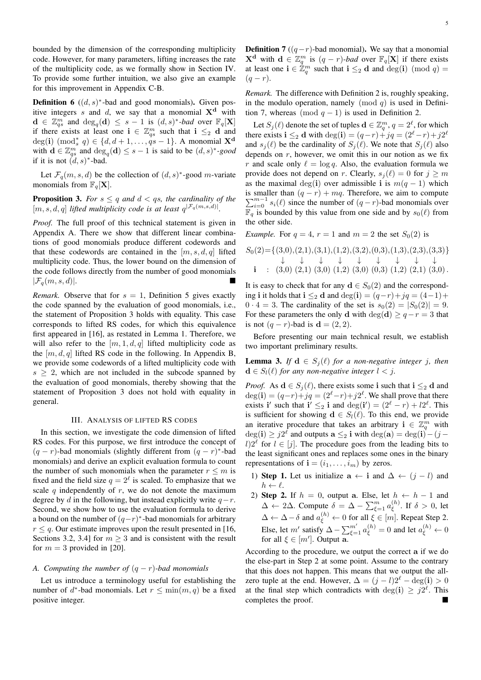bounded by the dimension of the corresponding multiplicity code. However, for many parameters, lifting increases the rate of the multiplicity code, as we formally show in Section [IV.](#page-7-1) To provide some further intuition, we also give an example for this improvement in Appendix [C-B.](#page-18-1)

<span id="page-4-4"></span>**Definition 6**  $((d, s)^*$ -bad and good monomials). Given positive integers s and d, we say that a monomial  $X<sup>d</sup>$  with  $\mathbf{d} \in \mathbb{Z}_{qs}^m$  and  $\deg_q(\mathbf{d}) \leq s - 1$  is  $(d, s)^*$ -bad over  $\mathbb{F}_q[\mathbf{X}]$ if there exists at least one  $\mathbf{i} \in \mathbb{Z}_{qs}^m$  such that  $\mathbf{i} \leq_2 \mathbf{d}$  and deg(i)  $\text{(mod}_s^* q) \in \{d, d+1, \ldots, qs-1\}$ . A monomial  $\mathbf{X}^d$ with  $\mathbf{d} \in \mathbb{Z}_{qs}^m$  and  $\deg_q(\mathbf{d}) \leq s - 1$  is said to be  $(d, s)^*$ -good if it is not  $(d, s)^*$ -bad.

Let  $\mathcal{F}_q(m, s, d)$  be the collection of  $(d, s)^*$ -good m-variate monomials from  $\mathbb{F}_q[\mathbf{X}]$ .

<span id="page-4-1"></span>**Proposition 3.** *For*  $s \leq q$  *and*  $d < qs$ *, the cardinality of the*  $[m, s, d, q]$  *lifted multiplicity code is at least*  $q^{|\mathcal{F}_q(m, s, d)|}$ *.* 

*Proof.* The full proof of this technical statement is given in Appendix [A.](#page-16-20) There we show that different linear combinations of good monomials produce different codewords and that these codewords are contained in the  $[m, s, d, q]$  lifted multiplicity code. Thus, the lower bound on the dimension of the code follows directly from the number of good monomials  $|\mathcal{F}_q(m, s, d)|$ .

*Remark.* Observe that for  $s = 1$ , Definition [5](#page-3-2) gives exactly the code spanned by the evaluation of good monomials, i.e., the statement of Proposition [3](#page-4-1) holds with equality. This case corresponds to lifted RS codes, for which this equivalence first appeared in [\[16\]](#page-16-14), as restated in Lemma [1.](#page-3-1) Therefore, we will also refer to the  $[m, 1, d, q]$  lifted multiplicity code as the  $[m, d, q]$  lifted RS code in the following. In Appendix [B,](#page-17-0) we provide some codewords of a lifted multiplicity code with  $s \geq 2$ , which are not included in the subcode spanned by the evaluation of good monomials, thereby showing that the statement of Proposition [3](#page-4-1) does not hold with equality in general.

#### III. ANALYSIS OF LIFTED RS CODES

<span id="page-4-0"></span>In this section, we investigate the code dimension of lifted RS codes. For this purpose, we first introduce the concept of  $(q - r)$ -bad monomials (slightly different from  $(q - r)^*$ -bad monomials) and derive an explicit evaluation formula to count the number of such monomials when the parameter  $r \leq m$  is fixed and the field size  $q = 2^{\ell}$  is scaled. To emphasize that we scale  $q$  independently of  $r$ , we do not denote the maximum degree by d in the following, but instead explicitly write  $q-r$ . Second, we show how to use the evaluation formula to derive a bound on the number of  $(q-r)^*$ -bad monomials for arbitrary  $r \leq q$ . Our estimate improves upon the result presented in [\[16,](#page-16-14) Sections 3.2, 3.4] for  $m \geq 3$  and is consistent with the result for  $m = 3$  provided in [\[20\]](#page-16-18).

## *A. Computing the number of* (q − r)*-bad monomials*

Let us introduce a terminology useful for establishing the number of  $d^*$ -bad monomials. Let  $r \leq \min(m, q)$  be a fixed positive integer.

<span id="page-4-2"></span>**Definition 7** ( $(q-r)$ -bad monomial). We say that a monomial  $X^d$  with  $d \in \mathbb{Z}_q^m$  is  $(q - r)$ *-bad* over  $\mathbb{F}_q[X]$  if there exists at least one  $\mathbf{i} \in \mathbb{Z}_q^m$  such that  $\mathbf{i} \leq_2 \mathbf{d}$  and  $\deg(\mathbf{i}) \pmod{q} =$  $(q - r)$ .

*Remark.* The difference with Definition [2](#page-3-3) is, roughly speaking, in the modulo operation, namely  $p \mod{q}$  is used in Defini-tion [7,](#page-4-2) whereas (mod  $q - 1$ ) is used in Definition [2.](#page-3-3)

Let  $S_j(\ell)$  denote the set of tuples  $\mathbf{d} \in \mathbb{Z}_q^m$ ,  $q = 2^{\ell}$ , for which there exists  $\mathbf{i} \leq_2 \mathbf{d}$  with  $\deg(\mathbf{i}) = (q-r) + jq = (2^{\ell} - r) + j2^{\ell}$ and  $s_i(\ell)$  be the cardinality of  $S_i(\ell)$ . We note that  $S_i(\ell)$  also depends on  $r$ , however, we omit this in our notion as we fix r and scale only  $\ell = \log q$ . Also, the evaluation formula we provide does not depend on r. Clearly,  $s_i(\ell) = 0$  for  $j \geq m$ as the maximal deg(i) over admissible i is  $m(q - 1)$  which is smaller than  $(q - r) + mq$ . Therefore, we aim to compute  $\sum_{i=0}^{m-1} s_i(\ell)$  since the number of  $(q-r)$ -bad monomials over  $\overline{\mathbb{F}_q}$  is bounded by this value from one side and by  $s_0(\ell)$  from the other side.

*Example.* For  $q = 4$ ,  $r = 1$  and  $m = 2$  the set  $S_0(2)$  is

$$
S_0(2) = \{ (3,0), (2,1), (3,1), (1,2), (3,2), (0,3), (1,3), (2,3), (3,3) \} \downarrow \qquad \downarrow \qquad \downarrow \qquad \downarrow \qquad \downarrow \qquad \downarrow \qquad \downarrow \qquad \downarrow \qquad \downarrow \qquad \downarrow \qquad \downarrow \qquad \downarrow
$$
\n
$$
\mathbf{i} \qquad : \quad (3,0) \ (2,1) \ (3,0) \ (1,2) \ (3,0) \ (0,3) \ (1,2) \ (2,1) \ (3,0) \, .
$$

It is easy to check that for any  $\mathbf{d} \in S_0(2)$  and the corresponding i it holds that  $\mathbf{i} \leq_2 \mathbf{d}$  and  $\deg(\mathbf{i}) = (q-r)+jq = (4-1)+$  $0 \cdot 4 = 3$ . The cardinality of the set is  $s_0(2) = |S_0(2)| = 9$ . For these parameters the only d with deg(d)  $> q-r=3$  that is not  $(q - r)$ -bad is  $\mathbf{d} = (2, 2)$ .

Before presenting our main technical result, we establish two important preliminary results.

<span id="page-4-3"></span>**Lemma 3.** *If*  $d \in S_i(\ell)$  *for a non-negative integer j, then*  $\mathbf{d} \in S_l(\ell)$  *for any non-negative integer*  $l < j$ *.* 

*Proof.* As  $\mathbf{d} \in S_j(\ell)$ , there exists some **i** such that  $\mathbf{i} \leq_2 \mathbf{d}$  and  $deg(i) = (q-r)+jq = (2^{\ell}-r)+j2^{\ell}$ . We shall prove that there exists i' such that  $\mathbf{i}' \leq_2 \mathbf{i}$  and  $\deg(\mathbf{i}') = (2^{\ell} - r) + l2^{\ell}$ . This is sufficient for showing  $\mathbf{d} \in S_l(\ell)$ . To this end, we provide an iterative procedure that takes an arbitrary  $\mathbf{i} \in \mathbb{Z}_q^m$  with  $deg(i) \geq j2^{\ell}$  and outputs  $a \leq_2 i$  with  $deg(a) = deg(i) - (j - 1)$  $l$ ) $2^l$  for  $l \in [j]$ . The procedure goes from the leading bits to the least significant ones and replaces some ones in the binary representations of  $\mathbf{i} = (i_1, \dots, i_m)$  by zeros.

- 1) Step 1. Let us initialize  $a \leftarrow i$  and  $\Delta \leftarrow (j l)$  and  $h \leftarrow \ell$ .
- 2) Step 2. If  $h = 0$ , output a. Else, let  $h \leftarrow h 1$  and  $\Delta \leftarrow 2\Delta$ . Compute  $\delta = \Delta - \sum_{\xi=1}^{m} a_{\xi}^{(h)}$  $\zeta^{(n)}$ . If  $\delta > 0$ , let  $\Delta \leftarrow \Delta - \delta$  and  $a_{\xi}^{(h)} \leftarrow 0$  for all  $\xi \in [m]$ . Repeat Step 2. Else, let  $m'$  satisfy  $\Delta - \sum_{\xi=1}^{m'} a_{\xi}^{(h)} = 0$  and let  $a_{\xi}^{(h)} \leftarrow 0$ for all  $\xi \in [m']$ . Output a.

According to the procedure, we output the correct a if we do the else-part in Step 2 at some point. Assume to the contrary that this does not happen. This means that we output the allzero tuple at the end. However,  $\Delta = (j - l)2^{\ell} - \deg(i) > 0$ at the final step which contradicts with  $\deg(i) \geq j2^{\ell}$ . This completes the proof.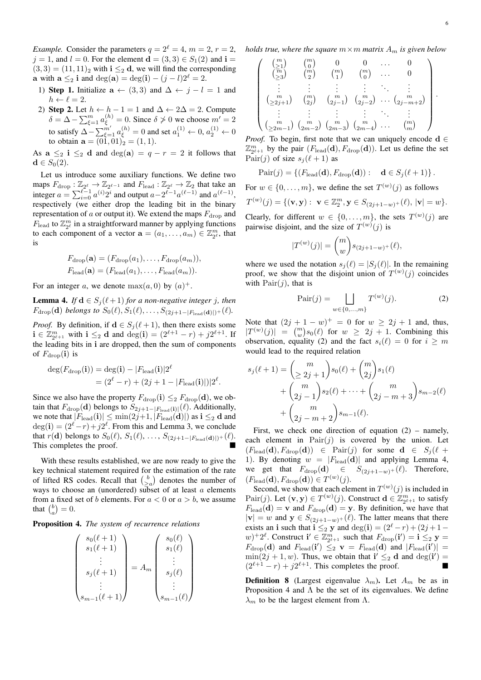*Example.* Consider the parameters  $q = 2^{\ell} = 4$ ,  $m = 2$ ,  $r = 2$ ,  $j = 1$ , and  $l = 0$ . For the element  $\mathbf{d} = (3, 3) \in S_1(2)$  and  $\mathbf{i} =$  $(3, 3) = (11, 11)_2$  with  $\mathbf{i} \leq_2 \mathbf{d}$ , we will find the corresponding a with  $\mathbf{a} \leq_2 \mathbf{i}$  and  $\deg(\mathbf{a}) = \deg(\mathbf{i}) - (j - l)2^{\ell} = 2$ .

- 1) Step 1. Initialize a  $\leftarrow$  (3,3) and  $\Delta \leftarrow j l = 1$  and  $h \leftarrow \ell = 2.$
- 2) Step 2. Let  $h \leftarrow h 1 = 1$  and  $\Delta \leftarrow 2\Delta = 2$ . Compute  $\delta = \Delta - \sum_{\xi=1}^{m} a_{\xi}^{(h)} = 0$ . Since  $\delta \geq 0$  we choose  $m' = 2$ to satisfy  $\Delta - \sum_{\xi=1}^{m'} a_{\xi}^{(h)} = 0$  and set  $a_1^{(1)} \leftarrow 0, a_2^{(1)} \leftarrow 0$ to obtain  $\mathbf{a} = (01, 01)_2 = (1, 1)$ .

As  $\mathbf{a} \leq_2 \mathbf{i} \leq_2 \mathbf{d}$  and  $\deg(\mathbf{a}) = q - r = 2$  it follows that  $\mathbf{d} \in S_0(2)$ .

Let us introduce some auxiliary functions. We define two maps  $F_{\text{drop}}: \mathbb{Z}_{2^{\ell}} \to \mathbb{Z}_{2^{\ell-1}}$  and  $F_{\text{lead}}: \mathbb{Z}_{2^{\ell}} \to \mathbb{Z}_2$  that take an integer  $a = \sum_{i=0}^{\ell-1} a^{(i)} 2^i$  and output  $a-2^{\ell-1} a^{(\ell-1)}$  and  $a^{(\ell-1)}$ , respectively (we either drop the leading bit in the binary representation of a or output it). We extend the maps  $F_{\text{drop}}$  and  $F_{\rm lead}$  to  $\mathbb{Z}_{2^\ell}^m$  in a straightforward manner by applying functions to each component of a vector  $\mathbf{a} = (a_1, \dots, a_m) \in \mathbb{Z}_{2^{\ell}}^m$ , that is

$$
F_{\text{drop}}(\mathbf{a}) = (F_{\text{drop}}(a_1), \dots, F_{\text{drop}}(a_m)),
$$
  

$$
F_{\text{lead}}(\mathbf{a}) = (F_{\text{lead}}(a_1), \dots, F_{\text{lead}}(a_m)).
$$

For an integer a, we denote  $max(a, 0)$  by  $(a)^+$ .

<span id="page-5-1"></span>**Lemma 4.** *If*  $d \in S_i(\ell+1)$  *for a non-negative integer j, then*  $F_{\text{drop}}(\mathbf{d})$  *belongs to*  $S_0(\ell), S_1(\ell), \ldots, S_{(2j+1-|F_{\text{lead}}(\mathbf{d})|)+}(\ell)$ *.* 

*Proof.* By definition, if  $d \in S_i(\ell + 1)$ , then there exists some  $\mathbf{i} \in \mathbb{Z}_{2^{\ell+1}}^m$  with  $\mathbf{i} \leq_2 \mathbf{d}$  and  $\deg(\mathbf{i}) = (2^{\ell+1} - r) + j2^{\ell+1}$ . If the leading bits in i are dropped, then the sum of components of  $F_{\text{drop}}(i)$  is

$$
\begin{aligned} \deg(F_{\text{drop}}(\mathbf{i})) &= \deg(\mathbf{i}) - |F_{\text{lead}}(\mathbf{i})| 2^{\ell} \\ &= (2^{\ell} - r) + (2j + 1 - |F_{\text{lead}}(\mathbf{i})|) | 2^{\ell}. \end{aligned}
$$

Since we also have the property  $F_{\text{drop}}(\mathbf{i}) \leq_2 F_{\text{drop}}(\mathbf{d})$ , we obtain that  $F_{\text{drop}}(\mathbf{d})$  belongs to  $S_{2j+1-|F_{\text{lead}}(\mathbf{i})|}(\ell)$ . Additionally, we note that  $|F_{\text{lead}}(\mathbf{i})| \le \min(2j+1, |F_{\text{lead}}(\mathbf{d})|)$  as  $\mathbf{i} \leq_2 \mathbf{d}$  and  $deg(i) = (2^{\ell} - r) + j2^{\ell}$ . From this and Lemma [3,](#page-4-3) we conclude that  $r(\mathbf{d})$  belongs to  $S_0(\ell), S_1(\ell), \ldots, S_{(2j+1-|F_{\text{lead}}(\mathbf{d})|)^+}(\ell)$ . This completes the proof.

With these results established, we are now ready to give the key technical statement required for the estimation of the rate of lifted RS codes. Recall that  $\begin{pmatrix} b \\ 2a \end{pmatrix}$  denotes the number of ways to choose an (unordered) subset of at least  $a$  elements from a fixed set of b elements. For  $a < 0$  or  $a > b$ , we assume that  $\binom{b}{a} = 0$ .

<span id="page-5-2"></span>Proposition 4. *The system of recurrence relations*

$$
\begin{pmatrix}\ns_0(\ell+1) \\
s_1(\ell+1) \\
\vdots \\
s_j(\ell+1) \\
\vdots \\
s_{m-1}(\ell+1)\n\end{pmatrix} = A_m \begin{pmatrix}\ns_0(\ell) \\
s_1(\ell) \\
\vdots \\
s_j(\ell) \\
\vdots \\
s_{m-1}(\ell)\n\end{pmatrix}
$$

*holds true, where the square*  $m \times m$  *matrix*  $A_m$  *is given below* 

$$
\begin{pmatrix}\n\begin{pmatrix}\nm \\
m \\
m \\
m\n\end{pmatrix} & \begin{pmatrix}\nm \\
m \\
m\n\end{pmatrix} & \begin{pmatrix}\nm \\
0\n\end{pmatrix} & 0 & 0 & \dots & 0 \\
\begin{pmatrix}\nm \\
m \\
m\n\end{pmatrix} & \begin{pmatrix}\nm \\
m \\
0\n\end{pmatrix} & \begin{pmatrix}\nm \\
0\n\end{pmatrix} & \dots & 0 \\
\vdots & \vdots & \vdots & \vdots & \vdots \\
\begin{pmatrix}\nm \\
m \\
m\n\end{pmatrix} & \begin{pmatrix}\nm \\
m \\
2\n\end{pmatrix} & \begin{pmatrix}\nm \\
m \\
2m-1\n\end{pmatrix} & \begin{pmatrix}\nm \\
2m-2\n\end{pmatrix} & \begin{pmatrix}\nm \\
2m-3\n\end{pmatrix} & \begin{pmatrix}\nm \\
2m-4\n\end{pmatrix} & \dots & \begin{pmatrix}\nm \\
m\n\end{pmatrix}\n\end{pmatrix}.
$$

*Proof.* To begin, first note that we can uniquely encode  $d \in$  $\mathbb{Z}_{2^{\ell+1}}^m$  by the pair  $(F_{\text{lead}}(\mathbf{d}), F_{\text{drop}}(\mathbf{d}))$ . Let us define the set Pair $(j)$  of size  $s_j(\ell+1)$  as

$$
Pair(j) = \{ (F_{\text{lead}}(\mathbf{d}), F_{\text{drop}}(\mathbf{d})) : \quad \mathbf{d} \in S_j(\ell+1) \}.
$$

For  $w \in \{0, \ldots, m\}$ , we define the set  $T^{(w)}(j)$  as follows

$$
T^{(w)}(j) = \{ (\mathbf{v}, \mathbf{y}) : \ \mathbf{v} \in \mathbb{Z}_2^m, \mathbf{y} \in S_{(2j+1-w)^+}(\ell), \ |\mathbf{v}| = w \}.
$$

Clearly, for different  $w \in \{0, \ldots, m\}$ , the sets  $T^{(w)}(j)$  are pairwise disjoint, and the size of  $T^{(w)}(j)$  is

$$
|T^{(w)}(j)| = {m \choose w} s_{(2j+1-w)^{+}}(\ell),
$$

where we used the notation  $s_i(\ell) = |S_i(\ell)|$ . In the remaining proof, we show that the disjoint union of  $T^{(w)}(j)$  coincides with  $Pair(j)$ , that is

<span id="page-5-0"></span>Pair(j) = 
$$
\bigsqcup_{w \in \{0, ..., m\}} T^{(w)}(j).
$$
 (2)

Note that  $(2j + 1 - w)^+ = 0$  for  $w \ge 2j + 1$  and, thus,  $|T^{(w)}(j)| = {m \choose w} s_0(\ell)$  for  $w \geq 2j + 1$ . Combining this observation, equality [\(2\)](#page-5-0) and the fact  $s_i(\ell) = 0$  for  $i \geq m$ would lead to the required relation

$$
s_j(\ell+1) = {m \choose \geq 2j+1} s_0(\ell) + {m \choose 2j} s_1(\ell) + {m \choose 2j-1} s_2(\ell) + \cdots + {m \choose 2j-m+1} s_{m-2}(\ell) + {m \choose 2j-m+2} s_{m-1}(\ell).
$$

First, we check one direction of equation  $(2)$  – namely, each element in  $Pair(j)$  is covered by the union. Let  $(F_{\text{lead}}(\mathbf{d}), F_{\text{drop}}(\mathbf{d})) \in \text{Pair}(j)$  for some  $\mathbf{d} \in S_i(\ell +$ 1). By denoting  $w = |F_{lead}(d)|$  and applying Lemma [4,](#page-5-1) we get that  $F_{\text{drop}}(\mathbf{d}) \in S_{(2j+1-w)^+}(\ell)$ . Therefore,  $(F_{\text{lead}}(\mathbf{d}), F_{\text{drop}}(\mathbf{d})) \in T^{(w)}(j).$ 

Second, we show that each element in  $T^{(w)}(j)$  is included in Pair(j). Let  $(\mathbf{v}, \mathbf{y}) \in T^{(w)}(j)$ . Construct  $\mathbf{d} \in \mathbb{Z}_{2^{\ell+1}}^m$  to satisfy  $F_{\text{lead}}(\mathbf{d}) = \mathbf{v}$  and  $F_{\text{drop}}(\mathbf{d}) = \mathbf{y}$ . By definition, we have that  $|v| = w$  and  $y \in S_{(2i+1-w)+}(\ell)$ . The latter means that there exists an i such that  $i \leq_2 y$  and  $\deg(i) = (2^{\ell} - r) + (2j + 1 - r)$  $w)^+2^{\ell}$ . Construct  $\mathbf{i}' \in \mathbb{Z}_{2^{\ell+1}}^m$  such that  $F_{\text{drop}}(\mathbf{i}') = \mathbf{i} \leq_2 \mathbf{y} =$  $F_{\text{drop}}(\mathbf{d})$  and  $F_{\text{lead}}(\mathbf{i'}) \leq_2 \mathbf{v} = F_{\text{lead}}(\mathbf{d})$  and  $|F_{\text{lead}}(\mathbf{i'})| =$  $\min(2j+1, w)$ . Thus, we obtain that  $\mathbf{i}' \leq_2 \mathbf{d}$  and  $\deg(\mathbf{i}') =$  $(2^{\ell+1} - r) + j2^{\ell+1}$ . This completes the proof.

<span id="page-5-3"></span>**Definition 8** (Largest eigenvalue  $\lambda_m$ ). Let  $A_m$  be as in Proposition [4](#page-5-2) and  $\Lambda$  be the set of its eigenvalues. We define  $\lambda_m$  to be the largest element from  $\Lambda$ .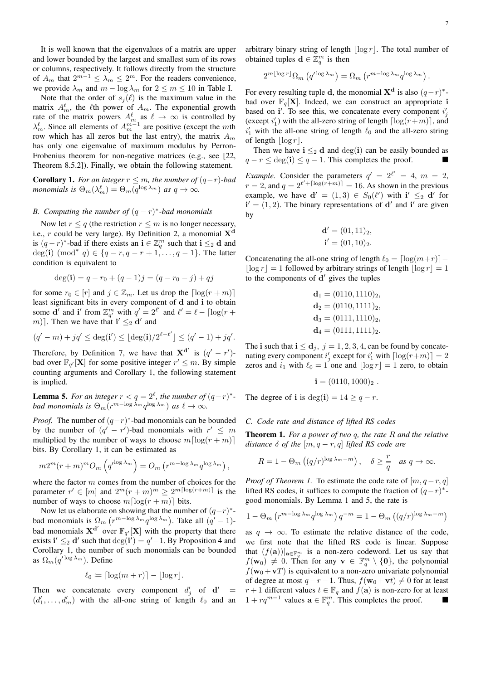It is well known that the eigenvalues of a matrix are upper and lower bounded by the largest and smallest sum of its rows or columns, respectively. It follows directly from the structure of  $A_m$  that  $2^{m-1} \le \lambda_m \le 2^m$ . For the readers convenience, we provide  $\lambda_m$  and  $m - \log \lambda_m$  for  $2 \le m \le 10$  in Table [I.](#page-2-0)

Note that the order of  $s_j(\ell)$  is the maximum value in the matrix  $A_m^{\ell}$ , the  $\ell$ th power of  $A_m$ . The exponential growth rate of the matrix powers  $A_{m}^{\ell}$  as  $\ell \to \infty$  is controlled by  $\lambda_m^{\ell}$ . Since all elements of  $A_m^{m-1}$  are positive (except the *mth* row which has all zeros but the last entry), the matrix  $A_m$ has only one eigenvalue of maximum modulus by Perron-Frobenius theorem for non-negative matrices (e.g., see [\[22,](#page-16-21) Theorem 8.5.2]). Finally, we obtain the following statement.

<span id="page-6-0"></span>**Corollary 1.** *For an integer*  $r \leq m$ *, the number of*  $(q-r)$ *-bad monomials is*  $\Theta_m(\lambda_m^{\ell}) = \Theta_m(q^{\log \lambda_m})$  *as*  $q \to \infty$ *.* 

# *B. Computing the number of* (q − r) ∗ *-bad monomials*

Now let  $r \leq q$  (the restriction  $r \leq m$  is no longer necessary, i.e., r could be very large). By Definition [2,](#page-3-3) a monomial  $X<sup>d</sup>$ is  $(q - r)^*$ -bad if there exists an  $\mathbf{i} \in \mathbb{Z}_q^m$  such that  $\mathbf{i} \leq_2 \mathbf{d}$  and deg(i)  $(\text{mod}^* q) \in \{q - r, q - r + 1, \ldots, q - 1\}$ . The latter condition is equivalent to

$$
deg(i) = q - r_0 + (q - 1)j = (q - r_0 - j) + qj
$$

for some  $r_0 \in [r]$  and  $j \in \mathbb{Z}_m$ . Let us drop the  $\lceil \log(r + m) \rceil$ least significant bits in every component of d and i to obtain some d' and i' from  $\mathbb{Z}_{q'}^m$  with  $q' = 2^{\ell'}$  and  $\ell' = \ell - \lceil \log(r + \ell') \rceil$ m)]. Then we have that  $\mathbf{i}' \leq_2 \mathbf{d}'$  and

$$
(q'-m)+jq'\leq \deg(\mathbf{i}')\leq \lfloor \deg(\mathbf{i})/2^{\ell-\ell'}\rfloor \leq (q'-1)+jq'.
$$

Therefore, by Definition [7,](#page-4-2) we have that  $X^{d'}$  is  $(q' - r')$ bad over  $\mathbb{F}_{q'}[\mathbf{X}]$  for some positive integer  $r' \leq m$ . By simple counting arguments and Corollary [1,](#page-6-0) the following statement is implied.

<span id="page-6-2"></span>**Lemma 5.** For an integer  $r < q = 2^{\ell}$ , the number of  $(q - r)^*$ *bad monomials is*  $\Theta_m(r^{m-\log \lambda_m}q^{\log \lambda_m})$  *as*  $\ell \to \infty$ *.* 

*Proof.* The number of  $(q-r)^*$ -bad monomials can be bounded by the number of  $(q' - r')$ -bad monomials with  $r' \leq m$ multiplied by the number of ways to choose  $m\lceil \log(r+m) \rceil$ bits. By Corollary [1,](#page-6-0) it can be estimated as

$$
m2^{m}(r+m)^{m}O_{m}\left(q'^{\log \lambda_{m}}\right)=O_{m}\left(r^{m-\log \lambda_{m}}q^{\log \lambda_{m}}\right),
$$

where the factor m comes from the number of choices for the parameter  $r' \in [m]$  and  $2^m (r+m)^m \ge 2^{m \lceil \log(r+m) \rceil}$  is the number of ways to choose  $m\lceil \log(r + m) \rceil$  bits.

Now let us elaborate on showing that the number of  $(q-r)^*$ bad monomials is  $\Omega_m$  ( $r^{m-\log \lambda_m} q^{\log \lambda_m}$ ). Take all  $(q'-1)$ bad monomials  $X^{d'}$  over  $\mathbb{F}_{q'}[X]$  with the property that there exists  $\mathbf{i}' \leq_2 \mathbf{d}'$  such that  $\deg(\mathbf{i}') = q' - 1$ . By Proposition [4](#page-5-2) and Corollary [1,](#page-6-0) the number of such monomials can be bounded as  $\Omega_m(q'^{\log \lambda_m})$ . Define

$$
\ell_0 \coloneqq \lceil \log(m+r) \rceil - \lfloor \log r \rfloor.
$$

Then we concatenate every component  $d'_j$  of  $\mathbf{d}' =$  $(d'_1, \ldots, d'_m)$  with the all-one string of length  $\ell_0$  and an arbitrary binary string of length  $|\log r|$ . The total number of obtained tuples  $\mathbf{d} \in \mathbb{Z}_q^m$  is then

$$
2^{m\lfloor \log r \rfloor} \Omega_m \left( q'^{\log \lambda_m} \right) = \Omega_m \left( r^{m - \log \lambda_m} q^{\log \lambda_m} \right).
$$

For every resulting tuple d, the monomial  $X<sup>d</sup>$  is also  $(q-r)^*$ bad over  $\mathbb{F}_q[X]$ . Indeed, we can construct an appropriate i based on  $\mathbf{i}'$ . To see this, we concatenate every component  $i'_j$ (except  $i'_1$ ) with the all-zero string of length  $\lceil \log(r+m) \rceil$ , and  $i'_1$  with the all-one string of length  $\ell_0$  and the all-zero string of length  $|\log r|$ .

Then we have  $i \leq_2 d$  and  $deg(i)$  can be easily bounded as  $q - r \leq \deg(i) \leq q - 1$ . This completes the proof.

*Example.* Consider the parameters  $q' = 2^{l'} = 4$ ,  $m = 2$ ,  $r = 2$ , and  $q = 2^{\ell' + \lceil \log(r + m) \rceil} = 16$ . As shown in the previous example, we have  $\mathbf{d}' = (1,3) \in S_0(\ell')$  with  $\mathbf{i}' \leq_2 \mathbf{d}'$  for  $\mathbf{i}' = (1, 2)$ . The binary representations of  $\mathbf{d}'$  and  $\mathbf{i}'$  are given by

$$
\mathbf{d}' = (01, 11)_2, \n\mathbf{i}' = (01, 10)_2.
$$

Concatenating the all-one string of length  $\ell_0 = \lceil \log(m+r) \rceil |\log r| = 1$  followed by arbitrary strings of length  $|\log r| = 1$ to the components of  $\mathbf{d}'$  gives the tuples

> $\mathbf{d}_1 = (0110, 1110)_2,$  $\mathbf{d}_2 = (0110, 1111)_2,$  $\mathbf{d}_3 = (0111, 1110)_2,$  $\mathbf{d}_4 = (0111, 1111)_2.$

The i such that  $i \le d_j$ ,  $j = 1, 2, 3, 4$ , can be found by concatenating every component  $i'_j$  except for  $i'_1$  with  $\lceil \log(r+m) \rceil = 2$ zeros and  $i_1$  with  $\ell_0 = 1$  one and  $|\log r| = 1$  zero, to obtain

$$
\mathbf{i} = (0110, 1000)_2 \; .
$$

The degree of **i** is deg(**i**) =  $14 \geq q - r$ .

#### *C. Code rate and distance of lifted RS codes*

<span id="page-6-1"></span>Theorem 1. *For a power of two* q*, the rate* R *and the relative distance*  $\delta$  *of the*  $[m, q - r, q]$  *lifted RS code are* 

$$
R = 1 - \Theta_m \left( (q/r)^{\log \lambda_m - m} \right), \quad \delta \ge \frac{r}{q} \quad \text{as } q \to \infty.
$$

*Proof of Theorem [1.](#page-6-1)* To estimate the code rate of  $[m, q-r, q]$ lifted RS codes, it suffices to compute the fraction of  $(q-r)^*$ good monomials. By Lemma [1](#page-3-1) and [5,](#page-6-2) the rate is

$$
1 - \Theta_m \left( r^{m - \log \lambda_m} q^{\log \lambda_m} \right) q^{-m} = 1 - \Theta_m \left( (q/r)^{\log \lambda_m - m} \right)
$$

as  $q \to \infty$ . To estimate the relative distance of the code, we first note that the lifted RS code is linear. Suppose that  $(f(\mathbf{a}))|_{\mathbf{a}\in \mathbb{F}_q^m}$  is a non-zero codeword. Let us say that  $f(\mathbf{w}_0) \neq 0$ . Then for any  $\mathbf{v} \in \mathbb{F}_q^m \setminus \{\mathbf{0}\}\)$ , the polynomial  $f(\mathbf{w}_0 + \mathbf{v}T)$  is equivalent to a non-zero univariate polynomial of degree at most  $q - r - 1$ . Thus,  $f(\mathbf{w}_0 + \mathbf{v}_t) \neq 0$  for at least  $r+1$  different values  $t \in \mathbb{F}_q$  and  $f(\mathbf{a})$  is non-zero for at least  $1 + rq^{m-1}$  values  $\mathbf{a} \in \mathbb{F}_q^m$ . This completes the proof. ■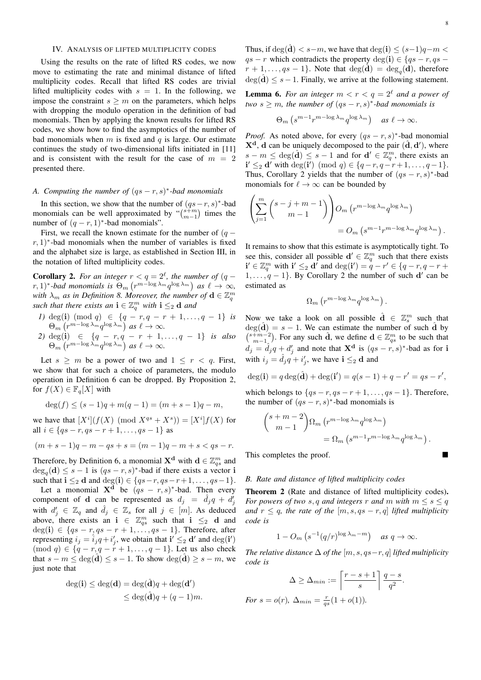## <span id="page-7-1"></span>IV. ANALYSIS OF LIFTED MULTIPLICITY CODES

Using the results on the rate of lifted RS codes, we now move to estimating the rate and minimal distance of lifted multiplicity codes. Recall that lifted RS codes are trivial lifted multiplicity codes with  $s = 1$ . In the following, we impose the constraint  $s \geq m$  on the parameters, which helps with dropping the modulo operation in the definition of bad monomials. Then by applying the known results for lifted RS codes, we show how to find the asymptotics of the number of bad monomials when  $m$  is fixed and  $q$  is large. Our estimate continues the study of two-dimensional lifts initiated in [\[11\]](#page-16-10) and is consistent with the result for the case of  $m = 2$ presented there.

# *A. Computing the number of* (qs − r, s) ∗ *-bad monomials*

In this section, we show that the number of  $(qs-r, s)^*$ -bad monomials can be well approximated by " $\binom{s+m}{m-1}$  times the number of  $(q - r, 1)$ <sup>\*</sup>-bad monomials".

First, we recall the known estimate for the number of  $(q (r, 1)$ <sup>\*</sup>-bad monomials when the number of variables is fixed and the alphabet size is large, as established in Section [III,](#page-4-0) in the notation of lifted multiplicity codes.

<span id="page-7-2"></span>**Corollary 2.** For an integer  $r < q = 2^{\ell}$ , the number of  $(q - \ell)$  $(r,1)^*$ -bad monomials is  $\Theta_m\left(r^{m-\log \lambda_m}q^{\log \lambda_m}\right)$  as  $\ell \to \infty$ , with  $\lambda_m$  as in Definition [8.](#page-5-3) Moreover, the number of  $\mathbf{d} \in \mathbb{Z}_q^m$ *such that there exists an*  $\mathbf{i} \in \mathbb{Z}_q^m$  *with*  $\mathbf{i} \leq_2 \mathbf{d}$  *and* 

- *1)* deg(i)  $(\text{mod } q) \in \{q r, q r + 1, \ldots, q 1\}$  *is*  $\Theta_m\left(r^{m-\log\lambda_m}q^{\log\lambda_m}\right)$  as  $\ell\to\infty$ .
- *2*) deg(**i**) ∈ { $q r, q r + 1, ..., q 1$ } *is also*  $\Theta_m\left(r^{m-\log\lambda_m}q^{\log\lambda_m}\right)$  as  $\ell\to\infty$ .

Let  $s \geq m$  be a power of two and  $1 \leq r < q$ . First, we show that for such a choice of parameters, the modulo operation in Definition [6](#page-4-4) can be dropped. By Proposition [2,](#page-3-4) for  $f(X) \in \mathbb{F}_q[X]$  with

$$
deg(f) \le (s-1)q + m(q-1) = (m+s-1)q - m,
$$

we have that  $[X^i](f(X) \pmod{X^{qs} + X^s}) = [X^i]f(X)$  for all  $i \in \{qs - r, qs - r + 1, ..., qs - 1\}$  as

$$
(m+s-1)q - m - qs + s = (m-1)q - m + s < qs - r.
$$

Therefore, by Definition [6,](#page-4-4) a monomial  $X^d$  with  $d \in \mathbb{Z}_{qs}^m$  and  $deg_q(\mathbf{d}) \leq s - 1$  is  $(qs - r, s)^*$ -bad if there exists a vector i such that  $\mathbf{i} \leq_2 \mathbf{d}$  and  $\deg(\mathbf{i}) \in \{qs - r, qs - r + 1, \ldots, qs - 1\}.$ 

Let a monomial  $X^d$  be  $(qs - r, s)^*$ -bad. Then every component of **d** can be represented as  $d_j = \hat{d}_j q + \hat{d}_j'$ with  $d'_j \in \mathbb{Z}_q$  and  $\hat{d}_j \in \mathbb{Z}_s$  for all  $j \in [m]$ . As deduced above, there exists an  $\mathbf{i} \in \mathbb{Z}_{qs}^m$  such that  $\mathbf{i} \leq_2 \mathbf{d}$  and deg(i) ∈ { $qs - r$ ,  $qs - r + 1$ , ...,  $qs - 1$ }. Therefore, after representing  $i_j = \hat{i}_j q + i'_j$ , we obtain that  $\mathbf{i}' \leq_2 \mathbf{d}'$  and  $\deg(\mathbf{i}')$  $(\text{mod } q) \in \{q - r, q - r + 1, \ldots, q - 1\}.$  Let us also check that  $s - m \leq deg(\mathbf{d}) \leq s - 1$ . To show  $deg(\mathbf{d}) \geq s - m$ , we just note that

$$
\deg(\mathbf{i}) \le \deg(\mathbf{d}) = \deg(\hat{\mathbf{d}})q + \deg(\mathbf{d}')
$$
  

$$
\le \deg(\hat{\mathbf{d}})q + (q-1)m.
$$

Thus, if  $deg(\hat{\mathbf{d}}) < s-m$ , we have that  $deg(\mathbf{i}) \leq (s-1)q-m$  $qs - r$  which contradicts the property deg(i)  $\in \{qs - r, qs - r\}$  $r + 1, \ldots, qs - 1$ . Note that  $\deg(\hat{\mathbf{d}}) = \deg_q(\mathbf{d})$ , therefore  $deg(\hat{\mathbf{d}}) \leq s - 1$ . Finally, we arrive at the following statement.

<span id="page-7-4"></span>**Lemma 6.** For an integer  $m < r < q = 2^{\ell}$  and a power of *two*  $s \geq m$ , the number of  $(qs - r, s)$ <sup>\*</sup>-bad monomials is

$$
\Theta_m\left(s^{m-1}r^{m-\log\lambda_m}q^{\log\lambda_m}\right) \quad \text{as } \ell \to \infty.
$$

*Proof.* As noted above, for every  $(qs - r, s)^*$ -bad monomial  $X^d$ , d can be uniquely decomposed to the pair  $(\hat{d}, d')$ , where  $s - m \leq deg(\hat{\mathbf{d}}) \leq s - 1$  and for  $\mathbf{d}' \in \mathbb{Z}_q^m$ , there exists an **i**' ≤<sub>2</sub> **d**' with deg(**i**') (mod *q*) ∈ {*q* − *r*, *q* − *r* + 1, ..., *q* − 1}. Thus, Corollary [2](#page-7-2) yields that the number of  $(qs - r, s)^*$ -bad monomials for  $\ell \to \infty$  can be bounded by

$$
\left(\sum_{j=1}^{m} {s-j+m-1 \choose m-1}\right) O_m(r^{m-\log \lambda_m} q^{\log \lambda_m})
$$
  
=  $O_m (s^{m-1} r^{m-\log \lambda_m} q^{\log \lambda_m}).$ 

It remains to show that this estimate is asymptotically tight. To see this, consider all possible  $\mathbf{d}' \in \mathbb{Z}_q^m$  such that there exists  $\mathbf{i}' \in \mathbb{Z}_q^m$  with  $\mathbf{i}' \leq_2 \mathbf{d}'$  and  $\deg(\mathbf{i}') = q - r' \in \{q - r, q - r + r'\}$  $1, \ldots, q-1$ . By Corollary [2](#page-7-2) the number of such d' can be estimated as

$$
\Omega_m\left(r^{m-\log \lambda_m}q^{\log \lambda_m}\right).
$$

Now we take a look on all possible  $\hat{\mathbf{d}} \in \mathbb{Z}_s^m$  such that  $deg(\mathbf{d}) = s - 1$ . We can estimate the number of such  $\mathbf{d}$  by  $\binom{s+m-2}{m-1}$ . For any such  $\hat{\mathbf{d}}$ , we define  $\mathbf{d} \in \mathbb{Z}_{qs}^m$  to be such that  $d_j = \hat{d}_j q + d'_j$  and note that  $\mathbf{X}^{\mathbf{d}}$  is  $(qs - r, s)^*$ -bad as for i with  $i_j = \hat{d}_j q + i'_j$ , we have  $\mathbf{i} \leq_2 \mathbf{d}$  and

$$
\deg(\mathbf{i}) = q \deg(\hat{\mathbf{d}}) + \deg(\mathbf{i}') = q(s-1) + q - r' = qs - r',
$$

which belongs to  $\{qs - r, qs - r + 1, \ldots, qs - 1\}$ . Therefore, the number of  $(qs - r, s)^*$ -bad monomials is

$$
\binom{s+m-2}{m-1} \Omega_m \left( r^{m-\log \lambda_m} q^{\log \lambda_m} \right)
$$
  
= 
$$
\Omega_m \left( s^{m-1} r^{m-\log \lambda_m} q^{\log \lambda_m} \right).
$$

This completes the proof.

#### <span id="page-7-0"></span>*B. Rate and distance of lifted multiplicity codes*

<span id="page-7-3"></span>Theorem 2 (Rate and distance of lifted multiplicity codes). *For powers of two* s, q and integers r and m with  $m \leq s \leq q$ *and*  $r \leq q$ *, the rate of the*  $[m, s, qs - r, q]$  *lifted multiplicity code is*

$$
1 - O_m\left(s^{-1}(q/r)^{\log \lambda_m - m}\right) \quad \text{as } q \to \infty.
$$

*The relative distance*  $\Delta$  *of the*  $[m, s, qs - r, q]$  *lifted multiplicity code is*

$$
\Delta \ge \Delta_{min} := \left\lceil \frac{r - s + 1}{s} \right\rceil \frac{q - s}{q^2}.
$$
  
For  $s = o(r)$ ,  $\Delta_{min} = \frac{r}{qs}(1 + o(1)).$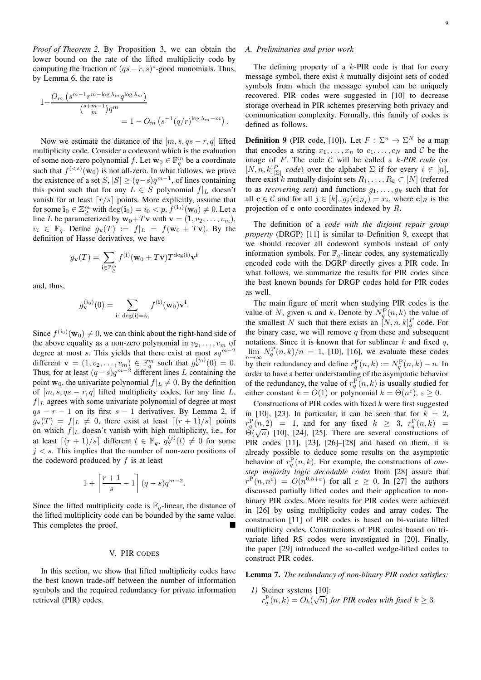*Proof of Theorem [2.](#page-7-3)* By Proposition [3,](#page-4-1) we can obtain the lower bound on the rate of the lifted multiplicity code by computing the fraction of  $(qs - r, s)^*$ -good monomials. Thus, by Lemma [6,](#page-7-4) the rate is

$$
1 - \frac{O_m\left(s^{m-1}r^{m-\log\lambda_m}q^{\log\lambda_m}\right)}{\binom{s+m-1}{m}q^m} = 1 - O_m\left(s^{-1}(q/r)^{\log\lambda_m - m}\right).
$$

Now we estimate the distance of the  $[m, s, qs - r, q]$  lifted multiplicity code. Consider a codeword which is the evaluation of some non-zero polynomial f. Let  $\mathbf{w}_0 \in \mathbb{F}_q^m$  be a coordinate such that  $f^{(*s*)}(w_0)$  is not all-zero. In what follows, we prove the existence of a set  $S$ ,  $|S| \ge (q - s)q^{m-1}$ , of lines containing this point such that for any  $L \in S$  polynomial  $f|_L$  doesn't vanish for at least  $\lceil r/s \rceil$  points. More explicitly, assume that for some  $\mathbf{i}_0 \in \mathbb{Z}_{\geq}^m$  with  $\deg(\mathbf{i}_0) = i_0 < p$ ,  $f^{(\mathbf{i}_0)}(\mathbf{w}_0) \neq 0$ . Let a line L be parameterized by  $\mathbf{w}_0+T\mathbf{v}$  with  $\mathbf{v}=(1, v_2, \dots, v_m)$ ,  $v_i \in \mathbb{F}_q$ . Define  $g_{\mathbf{v}}(T) := f|_L = f(\mathbf{w}_0 + T\mathbf{v})$ . By the definition of Hasse derivatives, we have

$$
g_{\mathbf{v}}(T) = \sum_{\mathbf{i} \in \mathbb{Z}_{\geq}^{m}} f^{(\mathbf{i})}(\mathbf{w}_{0} + T\mathbf{v}) T^{\deg(\mathbf{i})} \mathbf{v}^{\mathbf{i}}
$$

and, thus,

$$
g_{\mathbf{v}}^{(i_0)}(0) = \sum_{\mathbf{i}: \deg(\mathbf{i}) = i_0} f^{(\mathbf{i})}(\mathbf{w}_0) \mathbf{v}^{\mathbf{i}}
$$

.

Since  $f^{(i_0)}(w_0) \neq 0$ , we can think about the right-hand side of the above equality as a non-zero polynomial in  $v_2, \ldots, v_m$  of degree at most s. This yields that there exist at most  $sq^{m-2}$ different  $\mathbf{v} = (1, v_2, \dots, v_m) \in \mathbb{F}_q^m$  such that  $g_{\mathbf{v}}^{(i_0)}(0) = 0$ . Thus, for at least  $(q - s)q^{m-2}$  different lines L containing the point  $w_0$ , the univariate polynomial  $f|_L \neq 0$ . By the definition of  $[m, s, qs - r, q]$  lifted multiplicity codes, for any line L,  $f|_L$  agrees with some univariate polynomial of degree at most  $qs - r - 1$  on its first  $s - 1$  derivatives. By Lemma [2,](#page-3-5) if  $g_{\mathbf{v}}(T) = f|_{L} \neq 0$ , there exist at least  $[(r+1)/s]$  points on which  $f|_L$  doesn't vanish with high multiplicity, i.e., for at least  $[(r+1)/s]$  different  $t \in \mathbb{F}_q$ ,  $g_{\mathbf{v}}^{(j)}(t) \neq 0$  for some  $j < s$ . This implies that the number of non-zero positions of the codeword produced by  $f$  is at least

$$
1 + \left\lceil \frac{r+1}{s} - 1 \right\rceil (q-s)q^{m-2}.
$$

Since the lifted multiplicity code is  $\mathbb{F}_q$ -linear, the distance of the lifted multiplicity code can be bounded by the same value. This completes the proof.

## V. PIR CODES

<span id="page-8-1"></span>In this section, we show that lifted multiplicity codes have the best known trade-off between the number of information symbols and the required redundancy for private information retrieval (PIR) codes.

## *A. Preliminaries and prior work*

The defining property of a  $k$ -PIR code is that for every message symbol, there exist  $k$  mutually disjoint sets of coded symbols from which the message symbol can be uniquely recovered. PIR codes were suggested in [\[10\]](#page-16-9) to decrease storage overhead in PIR schemes preserving both privacy and communication complexity. Formally, this family of codes is defined as follows.

<span id="page-8-2"></span>**Definition 9** (PIR code, [\[10\]](#page-16-9)). Let  $F: \Sigma^n \to \Sigma^N$  be a map that encodes a string  $x_1, \ldots, x_n$  to  $c_1, \ldots, c_N$  and C be the image of F. The code C will be called a k*-PIR code* (or  $[N, n, k]_{\Sigma}^P$  *code*) over the alphabet  $\Sigma$  if for every  $i \in [n]$ , there exist k mutually disjoint sets  $R_1, \ldots, R_k \subset [N]$  (referred to as *recovering sets*) and functions  $g_1, \ldots, g_k$  such that for all  $\mathbf{c} \in \mathcal{C}$  and for all  $j \in [k]$ ,  $g_j(\mathbf{c}|_{R_j}) = x_i$ , where  $\mathbf{c}|_R$  is the projection of c onto coordinates indexed by R.

The definition of a *code with the disjoint repair group property* (DRGP) [\[11\]](#page-16-10) is similar to Definition [9,](#page-8-2) except that we should recover all codeword symbols instead of only information symbols. For  $\mathbb{F}_q$ -linear codes, any systematically encoded code with the DGRP directly gives a PIR code. In what follows, we summarize the results for PIR codes since the best known bounds for DRGP codes hold for PIR codes as well.

The main figure of merit when studying PIR codes is the value of N, given n and k. Denote by  $N_q^{\rm P}(n,k)$  the value of the smallest N such that there exists an  $[N, n, k]_q^P$  code. For the binary case, we will remove  $q$  from these and subsequent notations. Since it is known that for sublinear  $k$  and fixed  $q$ ,  $\lim_{n\to\infty} N_q^{\text{P}}(n,k)/n = 1$ , [\[10\]](#page-16-9), [\[16\]](#page-16-14), we evaluate these codes by their redundancy and define  $r_q^{\text{P}}(n,k) := N_q^{\text{P}}(n,k) - n$ . In order to have a better understanding of the asymptotic behavior of the redundancy, the value of  $r_q^P(n, k)$  is usually studied for either constant  $k = O(1)$  or polynomial  $k = \Theta(n^{\epsilon}), \epsilon \ge 0$ .

Constructions of PIR codes with fixed  $k$  were first suggested in [\[10\]](#page-16-9), [\[23\]](#page-16-22). In particular, it can be seen that for  $k = 2$ ,  $r_q^{\rm P}(n,2)$  = 1, and for any fixed  $k \geq 3$ ,  $r_q^{\rm P}(n,k)$  =  $\Theta(\sqrt{n})$  [\[10\]](#page-16-9), [\[24\]](#page-16-23), [\[25\]](#page-16-24). There are several constructions of PIR codes [\[11\]](#page-16-10), [\[23\]](#page-16-22), [\[26\]](#page-16-25)–[\[28\]](#page-16-26) and based on them, it is already possible to deduce some results on the asymptotic behavior of  $r_q^P(n, k)$ . For example, the constructions of *onestep majority logic decodable codes* from [\[28\]](#page-16-26) assure that  $r^{\mathrm{P}}(n, n^{\varepsilon}) = O(n^{0.5+\varepsilon})$  for all  $\varepsilon \geq 0$ . In [\[27\]](#page-16-27) the authors discussed partially lifted codes and their application to nonbinary PIR codes. More results for PIR codes were achieved in [\[26\]](#page-16-25) by using multiplicity codes and array codes. The construction [\[11\]](#page-16-10) of PIR codes is based on bi-variate lifted multiplicity codes. Constructions of PIR codes based on trivariate lifted RS codes were investigated in [\[20\]](#page-16-18). Finally, the paper [\[29\]](#page-16-28) introduced the so-called wedge-lifted codes to construct PIR codes.

<span id="page-8-0"></span>Lemma 7. *The redundancy of non-binary PIR codes satisfies:*

*1)* Steiner systems [\[10\]](#page-16-9):  $r_q^{\rm P}(n,k) = O_k(\sqrt{n})$  for PIR codes with fixed  $k \geq 3$ .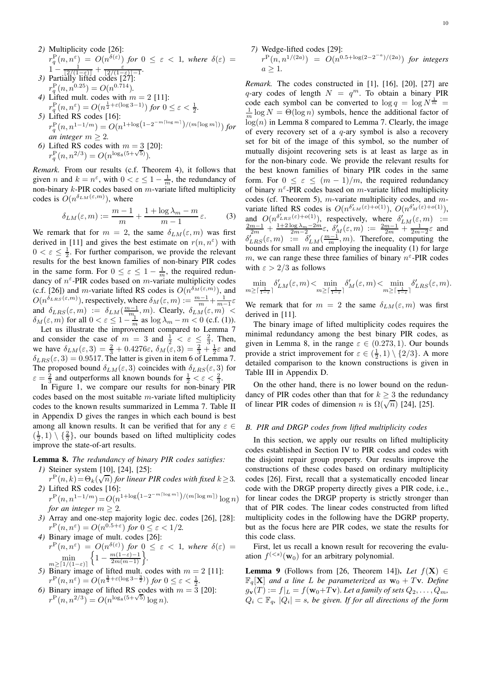<span id="page-9-3"></span>\n- 2) Multiplicity code [26]:
\n- $$
r_q^P(n, n^{\varepsilon}) = O(n^{\delta(\varepsilon)})
$$
 for  $0 \leq \varepsilon < 1$ , where  $\delta(\varepsilon) = 1 - \frac{1}{[2/(1-\varepsilon)]} + \frac{\varepsilon}{[2/(1-\varepsilon)]-1}$ .
\n- 3) Partially lifted codes [27]:
\n

<span id="page-9-4"></span>
$$
r_q^{\rm P}(n, n^{0.25}) = O(n^{0.714}).
$$

- <span id="page-9-5"></span> $q(n, n) = O(n)$ .<br> *4*) Lifted mult. codes with  $m = 2$  [\[11\]](#page-16-10):  $r_q^{\text{P}}(n, n^{\varepsilon}) = O(n^{\frac{1}{2} + \varepsilon(\log 3 - 1)})$  *for*  $0 \le \varepsilon < \frac{1}{2}$ *.*
- <span id="page-9-6"></span>*5)* Lifted RS codes [\[16\]](#page-16-14):  $r^{\mathrm{P}}_q(n,n^{1-1/m}) = O(n^{1+\log \left(1-2^{-m\lceil \log m \rceil}\right)/(m\lceil \log m \rceil)})$  for *an integer*  $m \geq 2$ *.*
- <span id="page-9-1"></span>*6*) Lifted RS codes with  $m = 3$  [\[20\]](#page-16-18):  $r_q^{\rm P}(n, n^{2/3}) = O(n^{\log_8(5+\sqrt{5})}).$

*Remark.* From our results (c.f. Theorem [4\)](#page-10-0), it follows that given *n* and  $k = n^{\epsilon}$ , with  $0 < \epsilon \le 1 - \frac{1}{m}$ , the redundancy of non-binary  $k$ -PIR codes based on  $m$ -variate lifted multiplicity codes is  $O(n^{\delta_{LM}(\varepsilon,m)})$ , where

$$
\delta_{LM}(\varepsilon, m) := \frac{m-1}{m} + \frac{1 + \log \lambda_m - m}{m-1} \varepsilon. \tag{3}
$$

We remark that for  $m = 2$ , the same  $\delta_{LM}(\varepsilon, m)$  was first derived in [\[11\]](#page-16-10) and gives the best estimate on  $r(n, n^{\epsilon})$  with  $0 < \varepsilon \leq \frac{1}{2}$ . For further comparison, we provide the relevant results for the best known families of non-binary PIR codes in the same form. For  $0 \leq \varepsilon \leq 1 - \frac{1}{m}$ , the required redundancy of  $n^{\epsilon}$ -PIR codes based on m-variate multiplicity codes (c.f. [\[26\]](#page-16-25)) and *m*-variate lifted RS codes is  $O(n^{\delta_M(\varepsilon,m)})$ , and  $O(n^{\delta_{LRS}(\varepsilon,m)})$ , respectively, where  $\delta_M(\varepsilon,m):=\frac{m-1}{m}+\frac{1}{m-1}\varepsilon$ and  $\delta_{LRS}(\varepsilon, m) := \delta_{LM}(\frac{m-1}{m}, m)$ . Clearly,  $\delta_{LM}(\varepsilon, m) <$  $\delta_M(\varepsilon, m)$  for all  $0 < \varepsilon \le 1 - \frac{1}{m}$  as  $\log \lambda_m - m < 0$  (c.f. [\(1\)](#page-2-2)).

Let us illustrate the improvement compared to Lemma [7](#page-8-0) and consider the case of  $m = 3$  and  $\frac{1}{2} < \varepsilon \leq \frac{2}{3}$ . Then, we have  $\delta_{LM}(\varepsilon,3) = \frac{2}{3} + 0.4276\varepsilon$ ,  $\delta_M(\varepsilon,3) = \frac{2}{3} + \frac{1}{2}\varepsilon$  and  $\delta_{LRS}(\varepsilon,3) = 0.9517$ . The latter is given in item [6](#page-9-1) of Lemma [7.](#page-8-0) The proposed bound  $\delta_{LM}(\varepsilon, 3)$  coincides with  $\delta_{LRS}(\varepsilon, 3)$  for  $\varepsilon = \frac{2}{3}$  and outperforms all known bounds for  $\frac{1}{2} < \varepsilon < \frac{2}{3}$ .

In Figure [1,](#page-10-1) we compare our results for non-binary PIR codes based on the most suitable  $m$ -variate lifted multiplicity codes to the known results summarized in Lemma [7.](#page-8-0) Table [II](#page-19-0) in Appendix [D](#page-18-2) gives the ranges in which each bound is best among all known results. It can be verified that for any  $\varepsilon \in$  $(\frac{1}{2}, 1) \setminus {\frac{2}{3}}$ , our bounds based on lifted multiplicity codes improve the state-of-art results.

<span id="page-9-0"></span>Lemma 8. *The redundancy of binary PIR codes satisfies: 1)* Steiner system [\[10\]](#page-16-9), [\[24\]](#page-16-23), [\[25\]](#page-16-24):

- <span id="page-9-7"></span> $r^{\text{P}}(n,k) = \Theta_k(\sqrt{n})$  for linear PIR codes with fixed  $k \geq 3$ . *2)* Lifted RS codes [\[16\]](#page-16-14):
- $r^{P}(n, n^{1-1/m}) = O(n^{1+\log(1-2^{-m\lceil \log m \rceil})/(m\lceil \log m \rceil)} \log n)$ *for an integer*  $m > 2$ *.*
- <span id="page-9-8"></span>*3)* Array and one-step majority logic dec. codes [\[26\]](#page-16-25), [\[28\]](#page-16-26):  $r^{\mathbf{P}}(n,n^{\varepsilon}) = O(n^{0.5+\varepsilon})$  for  $0 \leq \varepsilon < 1/2$ .
- <span id="page-9-9"></span>*4)* Binary image of mult. codes [\[26\]](#page-16-25):  $r^{\mathrm{P}}(n,n^{\varepsilon}) = O(n^{\delta(\varepsilon)})$  for  $0 \leq \varepsilon < 1$ , where  $\delta(\varepsilon) =$ min  $m \geq \lceil 1/(1-\varepsilon) \rceil$  $\left\{1-\frac{m(1-\varepsilon)-1}{2m(m-1)}\right\}.$
- <span id="page-9-10"></span>*5)* Binary image of lifted mult. codes with  $m = 2$  [\[11\]](#page-16-10):  $r^{\mathrm{P}}(n,n^{\varepsilon}) = O(n^{\frac{3}{4} + \varepsilon(\log 3 - \frac{3}{2})})$  *for*  $0 \leq \varepsilon < \frac{1}{2}$ *.*
- <span id="page-9-11"></span>6) Binary image of lifted RS codes with  $m = 3$  [\[20\]](#page-16-18):  $r^{P}(n, n^{2/3}) = O(n^{\log_8(5+\sqrt{5})} \log n).$

<span id="page-9-12"></span> $a > 1$ . *Remark.* The codes constructed in [\[1\]](#page-16-0), [\[16\]](#page-16-14), [\[20\]](#page-16-18), [\[27\]](#page-16-27) are q-ary codes of length  $N = q^m$ . To obtain a binary PIR code each symbol can be converted to  $\log q = \log N^{\frac{1}{m}}$  $\frac{1}{m} \log N = \Theta(\log n)$  symbols, hence the additional factor of  $log(n)$  in Lemma [8](#page-9-0) compared to Lemma [7.](#page-8-0) Clearly, the image of every recovery set of a  $q$ -ary symbol is also a recovery set for bit of the image of this symbol, so the number of mutually disjoint recovering sets is at least as large as in for the non-binary code. We provide the relevant results for the best known families of binary PIR codes in the same form. For  $0 \leq \varepsilon \leq (m-1)/m$ , the required redundancy of binary  $n^{\epsilon}$ -PIR codes based on m-variate lifted multiplicity codes (cf. Theorem [5\)](#page-11-1),  $m$ -variate multiplicity codes, and  $m$ variate lifted RS codes is  $O(n^{\delta'_{LM}(\varepsilon)+o(1)}), O(n^{\delta'_{M}(\varepsilon)+o(1)}),$ and  $O(n^{\delta'_{LRS}(\varepsilon)+o(1)})$ , respectively, where  $\delta'_{LM}(\varepsilon, m) := \frac{2m-1}{2m} + \frac{1+2\log\lambda_m-2m}{2m-2}\varepsilon$ ,  $\delta'_{M}(\varepsilon, m) := \frac{2m-1}{2m} + \frac{1}{2m-2}\varepsilon$  and  $\delta'_{LRS}(\varepsilon,m) := \delta'_{LM}(\frac{m-1}{m},m)$ . Therefore, computing the bounds for small  $m$  and employing the inequality [\(1\)](#page-2-2) for large m, we can range these three families of binary  $n^{\epsilon}$ -PIR codes

$$
\min_{m\geq \lceil\frac{1}{1-\varepsilon}\rceil}\delta_{LM}'(\varepsilon,m) < \min_{m\geq \lceil\frac{1}{1-\varepsilon}\rceil}\delta_M'(\varepsilon,m) < \min_{m\geq \lceil\frac{1}{1-\varepsilon}\rceil}\delta_{LRS}'(\varepsilon,m).
$$

with  $\varepsilon > 2/3$  as follows

We remark that for  $m = 2$  the same  $\delta_{LM}(\varepsilon, m)$  was first derived in [\[11\]](#page-16-10).

The binary image of lifted multiplicity codes requires the minimal redundancy among the best binary PIR codes, as given in Lemma [8,](#page-9-0) in the range  $\varepsilon \in (0.273, 1)$ . Our bounds provide a strict improvement for  $\varepsilon \in (\frac{1}{2}, 1) \setminus \{2/3\}$ . A more detailed comparison to the known constructions is given in Table [III](#page-19-1) in Appendix [D.](#page-18-2)

On the other hand, there is no lower bound on the redundancy of PIR codes other than that for  $k \geq 3$  the redundancy of linear PIR codes of dimension n is  $\Omega(\sqrt{n})$  [\[24\]](#page-16-23), [\[25\]](#page-16-24).

## *B. PIR and DRGP codes from lifted multiplicity codes*

In this section, we apply our results on lifted multiplicity codes established in Section [IV](#page-7-1) to PIR codes and codes with the disjoint repair group property. Our results improve the constructions of these codes based on ordinary multiplicity codes [\[26\]](#page-16-25). First, recall that a systematically encoded linear code with the DRGP property directly gives a PIR code, i.e., for linear codes the DRGP property is strictly stronger than that of PIR codes. The linear codes constructed from lifted multiplicity codes in the following have the DGRP property, but as the focus here are PIR codes, we state the results for this code class.

First, let us recall a known result for recovering the evaluation  $f^{(*s*)}(w_0)$  for an arbitrary polynomial.

<span id="page-9-2"></span>**Lemma 9** (Follows from [\[26,](#page-16-25) Theorem 14]). *Let*  $f(\mathbf{X}) \in$  $\mathbb{F}_q[X]$  *and a line L be parameterized as*  $\mathbf{w}_0 + T\mathbf{v}$ *. Define*  $g_{\mathbf{v}}(T) := f|_{L} = f(\mathbf{w}_0 + T\mathbf{v})$ . Let a family of sets  $Q_2, \ldots, Q_m$ ,  $Q_i \subset \mathbb{F}_q$ ,  $|Q_i| = s$ , be given. If for all directions of the form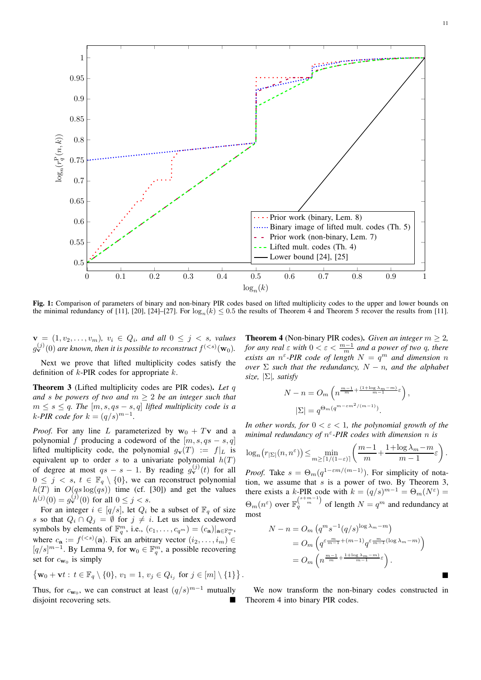<span id="page-10-1"></span>

Fig. 1: Comparison of parameters of binary and non-binary PIR codes based on lifted multiplicity codes to the upper and lower bounds on the minimal redundancy of [\[11\]](#page-16-10), [\[20\]](#page-16-18), [\[24\]](#page-16-23)–[\[27\]](#page-16-27). For  $\log_n(k) \leq 0.5$  the results of Theorem [4](#page-10-0) and Theorem [5](#page-11-1) recover the results from [\[11\]](#page-16-10).

.

 $\mathbf{v} = (1, v_2, \dots, v_m)$ ,  $v_i \in Q_i$ , and all  $0 \leq j \leq s$ , values  $g_{\mathbf{v}}^{(j)}(0)$  are known, then it is possible to reconstruct  $f^{(< s)}(\mathbf{w}_0)$ .

Next we prove that lifted multiplicity codes satisfy the definition of  $k$ -PIR codes for appropriate  $k$ .

<span id="page-10-2"></span>Theorem 3 (Lifted multiplicity codes are PIR codes). *Let* q *and s be powers of two and*  $m \geq 2$  *be an integer such that*  $m \leq s \leq q$ . The  $[m, s, qs - s, q]$  *lifted multiplicity code is a k*-*PIR* code for  $k = (q/s)^{m-1}$ .

*Proof.* For any line L parameterized by  $w_0 + Tv$  and a polynomial f producing a codeword of the  $[m, s, qs - s, q]$ lifted multiplicity code, the polynomial  $g_{\mathbf{v}}(T) := f|_{L}$  is equivalent up to order s to a univariate polynomial  $h(T)$ of degree at most  $qs - s - 1$ . By reading  $g_{\mathbf{v}}^{(j)}(t)$  for all  $0 \leq j \leq s, t \in \mathbb{F}_q \setminus \{0\}$ , we can reconstruct polynomial  $h(T)$  in  $O(qs \log(qs))$  time (cf. [\[30\]](#page-16-29)) and get the values  $h^{(j)}(0) = g_{\mathbf{v}}^{(j)}(0)$  for all  $0 \le j < s$ .

For an integer  $i \in [q/s]$ , let  $Q_i$  be a subset of  $\mathbb{F}_q$  of size s so that  $Q_i \cap Q_j = \emptyset$  for  $j \neq i$ . Let us index codeword symbols by elements of  $\mathbb{F}_q^m$ , i.e.,  $(c_1, \ldots, c_{q^m}) = (c_{\mathbf{a}})|_{\mathbf{a} \in \mathbb{F}_q^m}$ , where  $c_{\mathbf{a}} := f^{(. Fix an arbitrary vector  $(i_2, \ldots, i_m) \in$$ [ $q/s$ ]<sup>m−1</sup>. By Lemma [9,](#page-9-2) for w<sub>0</sub> ∈  $\mathbb{F}_q^m$ , a possible recovering set for  $c_{\mathbf{w}_0}$  is simply

$$
\big\{ \mathbf{w}_0 + \mathbf{v}t : t \in \mathbb{F}_q \setminus \{0\}, v_1 = 1, v_j \in Q_{i_j} \text{ for } j \in [m] \setminus \{1\} \big\}
$$

Thus, for  $c_{\mathbf{w}_0}$ , we can construct at least  $(q/s)^{m-1}$  mutually disjoint recovering sets.

<span id="page-10-0"></span>**Theorem 4** (Non-binary PIR codes). *Given an integer*  $m \geq 2$ , *for any real*  $\varepsilon$  *with*  $0 < \varepsilon < \frac{m-1}{m}$  *and a power of two q, there exists an*  $n^{\varepsilon}$ -PIR code of length  $N = q^m$  and dimension n *over*  $\Sigma$  *such that the redundancy,*  $N - n$ *, and the alphabet size,* |Σ|*, satisfy*

$$
N - n = O_m \left( n^{\frac{m-1}{m} + \frac{(1+\log \lambda_m - m)}{m-1} \varepsilon} \right),
$$
  

$$
|\Sigma| = q^{\Theta_m (q^{m - \varepsilon m^2/(m-1)})}.
$$

*In other words, for*  $0 < \varepsilon < 1$ *, the polynomial growth of the minimal redundancy of* n ε *-PIR codes with dimension* n *is*

$$
\log_n\left(r_{\left|\Sigma\right|}(n,n^{\varepsilon})\right) \leq \min_{m\geq \left\lceil 1/(1-\varepsilon)\right\rceil} \left(\frac{m-1}{m} + \frac{1+\log \lambda_m - m}{m-1}\varepsilon\right).
$$

*Proof.* Take  $s = \Theta_m(q^{1-\varepsilon m/(m-1)})$ . For simplicity of notation, we assume that  $s$  is a power of two. By Theorem [3,](#page-10-2) there exists a k-PIR code with  $k = (q/s)^{m-1} = \Theta_m(N^{\epsilon}) =$  $\Theta_m(n^{\epsilon})$  over  $\mathbb{F}_q^{s+m-1}$  of length  $N=q^m$  and redundancy at most

$$
N - n = O_m \left( q^m s^{-1} (q/s)^{\log \lambda_m - m} \right)
$$
  
= 
$$
O_m \left( q^{\varepsilon \frac{m}{m-1} + (m-1)} q^{\varepsilon \frac{m}{m-1} (\log \lambda_m - m)} \right)
$$
  
= 
$$
O_m \left( n^{\frac{m-1}{m} + \frac{1 + \log \lambda_m - m}{m-1} \varepsilon} \right).
$$

We now transform the non-binary codes constructed in Theorem [4](#page-10-0) into binary PIR codes.

 $\blacksquare$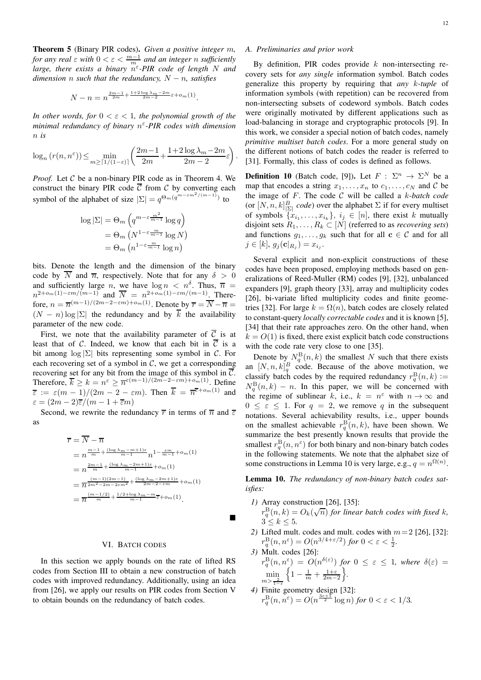<span id="page-11-1"></span>Theorem 5 (Binary PIR codes). *Given a positive integer* m*, for any real*  $\varepsilon$  *with*  $0 < \varepsilon < \frac{m-1}{m}$  *and an integer n sufficiently large, there exists a binary* n ε *-PIR code of length* N *and dimension n such that the redundancy*,  $N - n$ *, satisfies* 

$$
N - n = n^{\frac{2m-1}{2m} + \frac{1+2\log\lambda_m - 2m}{2m-2} \varepsilon + o_m(1)}.
$$

*In other words, for*  $0 < \varepsilon < 1$ *, the polynomial growth of the minimal redundancy of binary* n ε *-PIR codes with dimension* n *is*

$$
\log_n(r(n, n^{\varepsilon})) \le \min_{m \ge \lceil 1/(1-\varepsilon) \rceil} \left( \frac{2m-1}{2m} + \frac{1+2\log \lambda_m - 2m}{2m-2} \varepsilon \right)
$$

*Proof.* Let C be a non-binary PIR code as in Theorem [4.](#page-10-0) We construct the binary PIR code  $\overline{C}$  from C by converting each symbol of the alphabet of size  $|\Sigma| = q^{\Theta_m(q^{m-\epsilon m^2/(m-1)})}$  to

$$
\log |\Sigma| = \Theta_m \left( q^{m - \varepsilon \frac{m^2}{m - 1}} \log q \right)
$$
  
=  $\Theta_m \left( N^{1 - \varepsilon \frac{m}{m - 1}} \log N \right)$   
=  $\Theta_m \left( n^{1 - \varepsilon \frac{m}{m - 1}} \log n \right)$ 

bits. Denote the length and the dimension of the binary code by  $\overline{N}$  and  $\overline{n}$ , respectively. Note that for any  $\delta > 0$ and sufficiently large *n*, we have  $\log n < n^{\delta}$ . Thus,  $\overline{n} =$  $n^{2+o_m(1)-\varepsilon m/(m-1)}$  and  $\overline{N} = n^{2+o_m(1)-\varepsilon m/(m-1)}$ . Therefore,  $n = \overline{n}^{(m-1)/(2m-2-\epsilon m)+o_m(1)}$ . Denote by  $\overline{r} = \overline{N} - \overline{n}$  $(N - n) \log |\Sigma|$  the redundancy and by k the availability parameter of the new code.

First, we note that the availability parameter of  $\overline{C}$  is at least that of C. Indeed, we know that each bit in  $\overline{C}$  is a bit among  $\log |\Sigma|$  bits representing some symbol in C. For each recovering set of a symbol in  $C$ , we get a corresponding recovering set for any bit from the image of this symbol in  $\overline{C}$ . Therefore,  $\overline{k} \ge k = n^{\varepsilon} \ge \overline{n}^{\varepsilon(m-1)/(2m-2-\varepsilon m)+o_m(1)}$ . Define  $\overline{\varepsilon} := \varepsilon(m-1)/(2m-2-\varepsilon m)$ . Then  $\overline{k} = \overline{n}^{\overline{\varepsilon}+o_m(1)}$  and  $\varepsilon = (2m-2)\overline{\varepsilon}/(m-1+\overline{\varepsilon}m)$ 

Second, we rewrite the redundancy  $\overline{r}$  in terms of  $\overline{n}$  and  $\overline{\varepsilon}$ as

$$
\overline{r} = \overline{N} - \overline{n}
$$
\n
$$
= n \frac{m-1}{m} + \frac{(\log \lambda_m - m + 1)\varepsilon}{m-1} n^{1 - \frac{\varepsilon m}{m-1} + o_m(1)}
$$
\n
$$
= n \frac{2m-1}{m} + \frac{(\log \lambda_m - 2m + 1)\varepsilon}{m-1} + o_m(1)
$$
\n
$$
= \overline{n} \frac{(m-1)(2m-1)}{2m^2 - 2m - 2\varepsilon m^2} + \frac{(\log \lambda_m - 2m + 1)\varepsilon}{2m - 2 - \varepsilon m} + o_m(1)
$$
\n
$$
= \overline{n} \frac{(m-1/2)}{m} + \frac{1/2 + \log \lambda_m - m}{m-1} \overline{\varepsilon} + o_m(1).
$$

 $\blacksquare$ 

.

#### VI. BATCH CODES

<span id="page-11-0"></span>In this section we apply bounds on the rate of lifted RS codes from Section [III](#page-4-0) to obtain a new construction of batch codes with improved redundancy. Additionally, using an idea from [\[26\]](#page-16-25), we apply our results on PIR codes from Section [V](#page-8-1) to obtain bounds on the redundancy of batch codes.

## *A. Preliminaries and prior work*

By definition, PIR codes provide  $k$  non-intersecting recovery sets for *any single* information symbol. Batch codes generalize this property by requiring that *any* k*-tuple* of information symbols (with repetition) can be recovered from non-intersecting subsets of codeword symbols. Batch codes were originally motivated by different applications such as load-balancing in storage and cryptographic protocols [\[9\]](#page-16-8). In this work, we consider a special notion of batch codes, namely *primitive multiset batch codes*. For a more general study on the different notions of batch codes the reader is referred to [\[31\]](#page-16-30). Formally, this class of codes is defined as follows.

**Definition 10** (Batch code, [\[9\]](#page-16-8)). Let  $F : \Sigma^n \to \Sigma^N$  be a map that encodes a string  $x_1, \ldots, x_n$  to  $c_1, \ldots, c_N$  and  $C$  be the image of F. The code C will be called a k*-batch code* (or  $[N, n, k]_{\vert \Sigma \vert}^B$  *code*) over the alphabet  $\Sigma$  if for every multiset of symbols  $\{x_{i_1}, \ldots, x_{i_k}\}, i_j \in [n]$ , there exist k mutually disjoint sets  $R_1, \ldots, R_k \subset [N]$  (referred to as *recovering sets*) and functions  $g_1, \ldots, g_k$  such that for all  $c \in C$  and for all  $j \in [k], g_j(c|_{R_j}) = x_{i_j}.$ 

Several explicit and non-explicit constructions of these codes have been proposed, employing methods based on generalizations of Reed-Muller (RM) codes [\[9\]](#page-16-8), [\[32\]](#page-16-31), unbalanced expanders [\[9\]](#page-16-8), graph theory [\[33\]](#page-16-32), array and multiplicity codes [\[26\]](#page-16-25), bi-variate lifted multiplicity codes and finite geome-tries [\[32\]](#page-16-31). For large  $k = \Omega(n)$ , batch codes are closely related to constant-query *locally correctable codes* and it is known [\[5\]](#page-16-4), [\[34\]](#page-16-33) that their rate approaches zero. On the other hand, when  $k = O(1)$  is fixed, there exist explicit batch code constructions with the code rate very close to one [\[35\]](#page-16-34).

Denote by  $N_q^{\text{B}}(n,k)$  the smallest N such that there exists an  $[N, n, k]_q^B$  code. Because of the above motivation, we classify batch codes by the required redundancy  $r_q^{\text{B}}(n,k) :=$  $N_q^{\text{B}}(n,k) - n$ . In this paper, we will be concerned with the regime of sublinear k, i.e.,  $k = n^{\epsilon}$  with  $n \to \infty$  and  $0 \leq \varepsilon \leq 1$ . For  $q = 2$ , we remove q in the subsequent notations. Several achievability results, i.e., upper bounds on the smallest achievable  $r_q^{\text{B}}(n,k)$ , have been shown. We summarize the best presently known results that provide the smallest  $r_q^{\text{B}}(n, n^{\epsilon})$  for both binary and non-binary batch codes in the following statements. We note that the alphabet size of some constructions in Lemma [10](#page-11-2) is very large, e.g.,  $q = n^{\Omega(n)}$ .

<span id="page-11-2"></span>Lemma 10. *The redundancy of non-binary batch codes satisfies:*

- *1)* Array construction [\[26\]](#page-16-25), [\[35\]](#page-16-34):  $r_q^{\text{B}}(n,k) = O_k(\sqrt{n})$  *for linear batch codes with fixed k,*  $3 \leq k \leq 5$ .
- <span id="page-11-3"></span>2) Lifted mult. codes and mult. codes with  $m = 2$  [\[26\]](#page-16-25), [\[32\]](#page-16-31):  $r_q^{\text{B}}(n, n^{\varepsilon}) = O(n^{3/4 + \varepsilon/2})$  for  $0 < \varepsilon < \frac{1}{2}$ .
- <span id="page-11-4"></span>*3)* Mult. codes [\[26\]](#page-16-25):  $r_q^{\text{B}}(n,n^{\varepsilon}) = O(n^{\delta(\varepsilon)})$  for  $0 \leq \varepsilon \leq 1$ , where  $\delta(\varepsilon) =$  $\min_{m>\frac{2}{1-\varepsilon}}$  $\Big\{1-\frac{1}{m}+\frac{1+\varepsilon}{2m-2}$ o *.*
- <span id="page-11-5"></span>*4)* Finite geometry design [\[32\]](#page-16-31):  $r_q^{\text{B}}(n, n^{\varepsilon}) = O(n^{\frac{3\varepsilon + 1}{2}} \log n)$  *for*  $0 < \varepsilon < 1/3$ *.*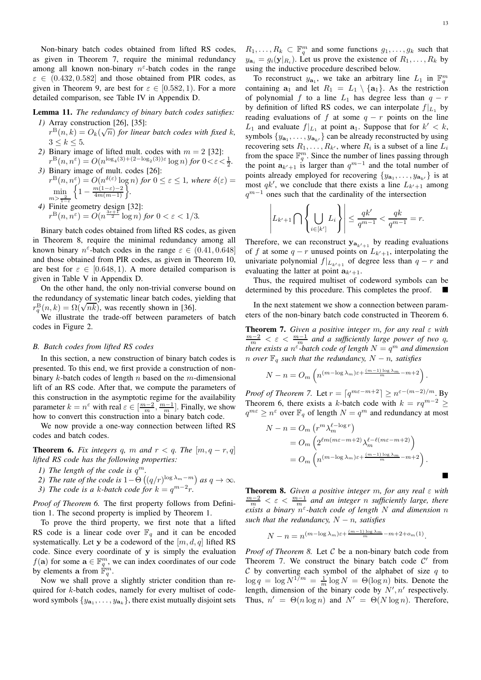Non-binary batch codes obtained from lifted RS codes, as given in Theorem [7,](#page-12-0) require the minimal redundancy among all known non-binary  $n^{\epsilon}$ -batch codes in the range  $\varepsilon \in (0.432, 0.582]$  and those obtained from PIR codes, as given in Theorem [9,](#page-13-0) are best for  $\varepsilon \in [0.582, 1)$ . For a more detailed comparison, see Table [IV](#page-19-2) in Appendix [D.](#page-18-2)

## <span id="page-12-3"></span>Lemma 11. *The redundancy of binary batch codes satisfies: 1)* Array construction [\[26\]](#page-16-25), [\[35\]](#page-16-34):

- $r^{B}(n, k) = O_{k}(\sqrt{n})$  for linear batch codes with fixed k,  $3 \leq k \leq 5$ .
- <span id="page-12-4"></span>2) Binary image of lifted mult. codes with  $m = 2$  [\[32\]](#page-16-31):  $r^{\text{B}}(n, n^{\varepsilon}) = O(n^{\log_4(3) + (2-\log_2(3))\varepsilon} \log n)$  for  $0 < \varepsilon < \frac{1}{2}$ .
- <span id="page-12-5"></span>*3)* Binary image of mult. codes [\[26\]](#page-16-25):  $r^{\text{B}}(n, n_{\epsilon}^{\varepsilon}) = O(n^{\delta(\varepsilon)} \log n)$  *for*  $0 \leq \varepsilon \leq 1$ *, where*  $\delta(\varepsilon) =$  $\min_{m>\frac{2}{1-\varepsilon}}$  $\left\{1-\frac{m(1-\varepsilon)-2}{4m(m-1)}\right\}.$
- <span id="page-12-6"></span>*4)* Finite geometry design [\[32\]](#page-16-31):  $r^{B}(n, n^{\varepsilon}) = O(n^{\frac{3\varepsilon+1}{2}}\log n)$  *for*  $0 < \varepsilon < 1/3$ *.*

Binary batch codes obtained from lifted RS codes, as given in Theorem [8,](#page-12-1) require the minimal redundancy among all known binary  $n^{\varepsilon}$ -batch codes in the range  $\varepsilon \in (0.41, 0.648]$ and those obtained from PIR codes, as given in Theorem [10,](#page-13-1) are best for  $\varepsilon \in [0.648, 1)$ . A more detailed comparison is given in Table [V](#page-19-3) in Appendix [D.](#page-18-2)

On the other hand, the only non-trivial converse bound on the redundancy of systematic linear batch codes, yielding that  $r_{\overline{q}}^{\text{B}}(n,k) = \Omega(\sqrt{nk})$ , was recently shown in [\[36\]](#page-16-35).

We illustrate the trade-off between parameters of batch codes in Figure [2.](#page-13-2)

## *B. Batch codes from lifted RS codes*

In this section, a new construction of binary batch codes is presented. To this end, we first provide a construction of nonbinary  $k$ -batch codes of length n based on the m-dimensional lift of an RS code. After that, we compute the parameters of this construction in the asymptotic regime for the availability parameter  $k = n^{\varepsilon}$  with real  $\varepsilon \in \left[\frac{m-2}{m}, \frac{m-1}{m}\right]$ . Finally, we show how to convert this construction into a binary batch code.

We now provide a one-way connection between lifted RS codes and batch codes.

<span id="page-12-2"></span>**Theorem 6.** Fix integers q, m and  $r < q$ . The  $[m, q-r, q]$ *lifted RS code has the following properties:*

- *1)* The length of the code is  $q^m$ .
- 2) The rate of the code is  $1 \Theta\left((q/r)^{\log \lambda_m m}\right)$  as  $q \to \infty$ .
- *3)* The code is a k-batch code for  $k = q^{m-2}r$ .

*Proof of Theorem [6.](#page-12-2)* The first property follows from Definition [1.](#page-3-6) The second property is implied by Theorem [1.](#page-6-1)

To prove the third property, we first note that a lifted RS code is a linear code over  $\mathbb{F}_q$  and it can be encoded systematically. Let y be a codeword of the  $[m, d, q]$  lifted RS code. Since every coordinate of y is simply the evaluation  $f(\mathbf{a})$  for some  $\mathbf{a} \in \mathbb{F}_q^m$ , we can index coordinates of our code  $f(a)$  for some  $a \in \mathbb{F}_q$ ,  $\mathbb{F}_q^m$ .<br>by elements a from  $\mathbb{F}_q^m$ .

Now we shall prove a slightly stricter condition than required for k-batch codes, namely for every multiset of codeword symbols  $\{y_{\mathbf{a}_1}, \ldots, y_{\mathbf{a}_k}\}\,$ , there exist mutually disjoint sets

 $R_1, \ldots, R_k \subset \mathbb{F}_q^m$  and some functions  $g_1, \ldots, g_k$  such that  $y_{\mathbf{a}_i} = g_i(\mathbf{y}|_{R_i})$ . Let us prove the existence of  $R_1, \ldots, R_k$  by using the inductive procedure described below.

To reconstruct  $y_{a_1}$ , we take an arbitrary line  $L_1$  in  $\mathbb{F}_q^m$ containing  $a_1$  and let  $R_1 = L_1 \setminus \{a_1\}$ . As the restriction of polynomial f to a line  $L_1$  has degree less than  $q - r$ by definition of lifted RS codes, we can interpolate  $f|_{L_1}$  by reading evaluations of f at some  $q - r$  points on the line  $L_1$  and evaluate  $f|_{L_1}$  at point  $a_1$ . Suppose that for  $k' < k$ , symbols  $\{y_{a_1}, \ldots, y_{a_{k'}}\}$  can be already reconstructed by using recovering sets  $R_1, \ldots, R_{k'}$ , where  $R_i$  is a subset of a line  $L_i$ from the space  $\mathbb{F}_q^m$ . Since the number of lines passing through the point  $a_{k'+1}$  is larger than  $q^{m-1}$  and the total number of points already employed for recovering  $\{y_{a_1}, \ldots, y_{a_{k'}}\}$  is at most  $qk'$ , we conclude that there exists a line  $L_{k'+1}$  among  $q^{m-1}$  ones such that the cardinality of the intersection

$$
\left| L_{k'+1} \bigcap \left\{ \bigcup_{i \in [k']} L_i \right\} \right| \leq \frac{qk'}{q^{m-1}} < \frac{qk}{q^{m-1}} = r.
$$

Therefore, we can reconstruct  $y_{a_{k'+1}}$  by reading evaluations of f at some  $q - r$  unused points on  $L_{k'+1}$ , interpolating the univariate polynomial  $f|_{L_{k'+1}}$  of degree less than  $q-r$  and evaluating the latter at point  $a_{k'+1}$ .

Thus, the required multiset of codeword symbols can be determined by this procedure. This completes the proof.

In the next statement we show a connection between parameters of the non-binary batch code constructed in Theorem [6.](#page-12-2)

<span id="page-12-0"></span>Theorem 7. *Given a positive integer* m*, for any real* ε *with*  $\frac{m-2}{m}$  <  $\varepsilon$  <  $\frac{m-1}{m}$  and a sufficiently large power of two q, *there exists a*  $n^{\varepsilon}$ -batch code of length  $N = q^m$  and dimension *n over*  $\mathbb{F}_q$  *such that the redundancy*,  $N - n$ *, satisfies* 

$$
N - n = O_m\left(n^{(m-\log\lambda_m)\varepsilon + \frac{(m-1)\log\lambda_m}{m} - m + 2}\right).
$$

*Proof of Theorem [7.](#page-12-0)* Let  $r = \lceil q^{m\varepsilon - m + 2} \rceil \ge n^{\varepsilon - (m-2)/m}$ . By Theorem [6,](#page-12-2) there exists a k-batch code with  $k = r q^{m-2}$  $q^{m\epsilon} \geq n^{\epsilon}$  over  $\mathbb{F}_q$  of length  $N = q^m$  and redundancy at most

$$
N - n = O_m \left( r^m \lambda_m^{\ell - \log r} \right)
$$
  
= 
$$
O_m \left( 2^{\ell m (m\varepsilon - m + 2)} \lambda_m^{\ell - \ell (m\varepsilon - m + 2)} \right)
$$
  
= 
$$
O_m \left( n^{(m - \log \lambda_m)\varepsilon + \frac{(m-1)\log \lambda_m}{m} - m + 2} \right).
$$

<span id="page-12-1"></span>Theorem 8. *Given a positive integer* m*, for any real* ε *with* m−2 <sup>m</sup> < ε < <sup>m</sup>−<sup>1</sup> <sup>m</sup> *and an integer* n *sufficiently large, there exists a binary* n ε *-batch code of length* N *and dimension* n *such that the redundancy,*  $N - n$ *, satisfies* 

$$
N - n = n^{(m - \log \lambda_m)\varepsilon + \frac{(m-1)\log \lambda_m}{m} - m + 2 + o_m(1)}
$$

.

*Proof of Theorem [8.](#page-12-1)* Let C be a non-binary batch code from Theorem [7.](#page-12-0) We construct the binary batch code  $\mathcal{C}'$  from C by converting each symbol of the alphabet of size  $q$  to  $\log q = \log N^{1/m} = \frac{1}{m} \log N = \Theta(\log n)$  bits. Denote the length, dimension of the binary code by  $N', n'$  respectively. Thus,  $n' = \Theta(n \log n)$  and  $N' = \Theta(N \log n)$ . Therefore,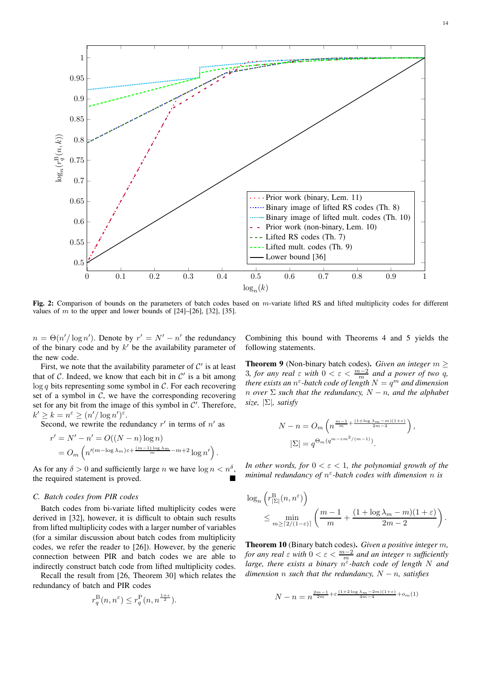<span id="page-13-2"></span>

Fig. 2: Comparison of bounds on the parameters of batch codes based on m-variate lifted RS and lifted multiplicity codes for different values of  $m$  to the upper and lower bounds of  $[24]$ – $[26]$ ,  $[32]$ ,  $[35]$ .

 $n = \Theta(n'/\log n')$ . Denote by  $r' = N' - n'$  the redundancy of the binary code and by  $k'$  be the availability parameter of the new code.

First, we note that the availability parameter of  $\mathcal{C}'$  is at least that of C. Indeed, we know that each bit in  $\mathcal{C}'$  is a bit among  $\log q$  bits representing some symbol in C. For each recovering set of a symbol in  $C$ , we have the corresponding recovering set for any bit from the image of this symbol in  $\mathcal{C}'$ . Therefore,  $k' \geq k = n^{\varepsilon} \geq (n'/\log n')^{\varepsilon}.$ 

Second, we rewrite the redundancy  $r'$  in terms of  $n'$  as

$$
r' = N' - n' = O((N - n) \log n)
$$
  
= 
$$
O_m\left(n'^{(m - \log \lambda_m)\varepsilon + \frac{(m - 1) \log \lambda_m}{m} - m + 2 \log n'}\right).
$$

As for any  $\delta > 0$  and sufficiently large n we have  $\log n < n^{\delta}$ , the required statement is proved.

#### *C. Batch codes from PIR codes*

Batch codes from bi-variate lifted multiplicity codes were derived in [\[32\]](#page-16-31), however, it is difficult to obtain such results from lifted multiplicity codes with a larger number of variables (for a similar discussion about batch codes from multiplicity codes, we refer the reader to [\[26\]](#page-16-25)). However, by the generic connection between PIR and batch codes we are able to indirectly construct batch code from lifted multiplicity codes.

Recall the result from [\[26,](#page-16-25) Theorem 30] which relates the redundancy of batch and PIR codes

$$
r_q^{\mathcal{B}}(n, n^{\varepsilon}) \le r_q^{\mathcal{P}}(n, n^{\frac{1+\varepsilon}{2}}).
$$

Combining this bound with Theorems [4](#page-10-0) and [5](#page-11-1) yields the following statements.

<span id="page-13-0"></span>**Theorem 9** (Non-binary batch codes). *Given an integer*  $m \geq$ 3*, for any real*  $\varepsilon$  *with*  $0 < \varepsilon < \frac{m-2}{m}$  *and a power of two q, there exists an n<sup>* $\varepsilon$ *</sup>-batch code of length*  $N = q^m$  *and dimension n over*  $\Sigma$  *such that the redundancy,*  $N - n$ *, and the alphabet size,* |Σ|*, satisfy*

$$
N - n = O_m \left( n^{\frac{m-1}{m} + \frac{(1 + \log \lambda_m - m)(1 + \varepsilon)}{2m - 2}} \right),
$$
  

$$
|\Sigma| = q^{\Theta_m (q^{m - \varepsilon m^2 / (m - 1)})}.
$$

*In other words, for*  $0 < \varepsilon < 1$ *, the polynomial growth of the minimal redundancy of* n ε *-batch codes with dimension* n *is*

$$
\log_n\left(r^{\mathcal{B}}_{|\Sigma|}(n,n^{\varepsilon})\right) \le \min_{m\geq \lceil 2/(1-\varepsilon)\rceil}\left(\frac{m-1}{m}+\frac{(1+\log\lambda_m-m)(1+\varepsilon)}{2m-2}\right).
$$

<span id="page-13-1"></span>Theorem 10 (Binary batch codes). *Given a positive integer* m*, for any real*  $\varepsilon$  *with*  $0 < \varepsilon < \frac{m-2}{m}$  *and an integer n sufficiently large, there exists a binary* n ε *-batch code of length* N *and dimension n such that the redundancy*,  $N - n$ *, satisfies* 

$$
N - n = n^{\frac{2m-1}{2m} + \varepsilon \frac{(1+2\log\lambda_m - 2m)(1+\varepsilon)}{4m-4} + o_m(1)}
$$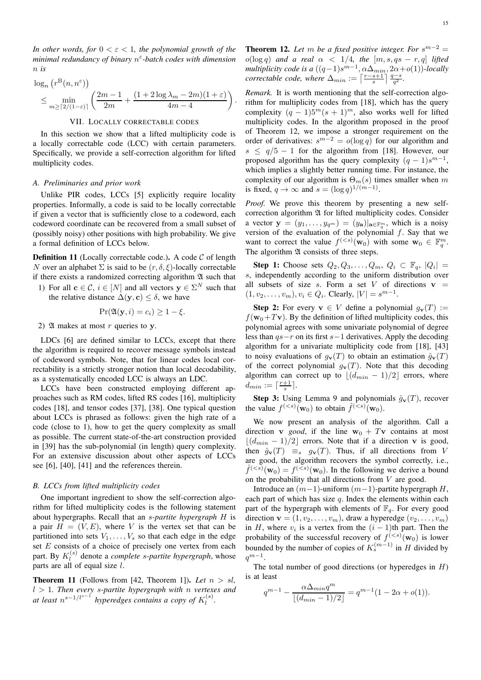*In other words, for*  $0 < \varepsilon < 1$ *, the polynomial growth of the* minimal redundancy of binary n<sup>ε</sup>-batch codes with dimension n *is*

$$
\log_n (r^{B}(n, n^{\varepsilon}))
$$
  
\n
$$
\leq \min_{m \geq \lceil 2/(1-\varepsilon) \rceil} \left( \frac{2m-1}{2m} + \frac{(1+2\log \lambda_m - 2m)(1+\varepsilon)}{4m-4} \right)
$$

.

## VII. LOCALLY CORRECTABLE CODES

<span id="page-14-1"></span>In this section we show that a lifted multiplicity code is a locally correctable code (LCC) with certain parameters. Specifically, we provide a self-correction algorithm for lifted multiplicity codes.

## *A. Preliminaries and prior work*

Unlike PIR codes, LCCs [\[5\]](#page-16-4) explicitly require locality properties. Informally, a code is said to be locally correctable if given a vector that is sufficiently close to a codeword, each codeword coordinate can be recovered from a small subset of (possibly noisy) other positions with high probability. We give a formal definition of LCCs below.

**Definition 11** (Locally correctable code.). A code  $C$  of length N over an alphabet  $\Sigma$  is said to be  $(r, \delta, \xi)$ -locally correctable if there exists a randomized correcting algorithm  $\mathfrak A$  such that

1) For all  $\mathbf{c} \in \mathcal{C}$ ,  $i \in [N]$  and all vectors  $\mathbf{y} \in \Sigma^N$  such that the relative distance  $\Delta$ (**y**, **c**) <  $\delta$ , we have

$$
\Pr(\mathfrak{A}(\mathbf{y},i)=c_i)\geq 1-\xi.
$$

2)  $\mathfrak A$  makes at most r queries to y.

LDCs [\[6\]](#page-16-5) are defined similar to LCCs, except that there the algorithm is required to recover message symbols instead of codeword symbols. Note, that for linear codes local correctability is a strictly stronger notion than local decodability, as a systematically encoded LCC is always an LDC.

LCCs have been constructed employing different approaches such as RM codes, lifted RS codes [\[16\]](#page-16-14), multiplicity codes [\[18\]](#page-16-16), and tensor codes [\[37\]](#page-16-36), [\[38\]](#page-16-37). One typical question about LCCs is phrased as follows: given the high rate of a code (close to 1), how to get the query complexity as small as possible. The current state-of-the-art construction provided in [\[39\]](#page-16-38) has the sub-polynomial (in length) query complexity. For an extensive discussion about other aspects of LCCs see [\[6\]](#page-16-5), [\[40\]](#page-16-39), [\[41\]](#page-16-40) and the references therein.

#### <span id="page-14-0"></span>*B. LCCs from lifted multiplicity codes*

One important ingredient to show the self-correction algorithm for lifted multiplicity codes is the following statement about hypergraphs. Recall that an s*-partite hypergraph* H is a pair  $H = (V, E)$ , where V is the vertex set that can be partitioned into sets  $V_1, \ldots, V_s$  so that each edge in the edge set  $E$  consists of a choice of precisely one vertex from each part. By  $K_l^{(s)}$ l denote a *complete* s*-partite hypergraph*, whose parts are all of equal size l.

<span id="page-14-3"></span>**Theorem 11** (Follows from [\[42,](#page-16-41) Theorem 1]). Let  $n > sl$ . l > 1*. Then every* s*-partite hypergraph with* n *vertexes and* at least  $n^{s-1/l^{s-1}}$  hyperedges contains a copy of  $K_l^{(s)}$  $\int_l^{(s)}$ .

<span id="page-14-2"></span>**Theorem 12.** Let m be a fixed positive integer. For  $s^{m-2}$  =  $o(\log q)$  *and a real*  $\alpha < 1/4$ *, the*  $[m, s, qs - r, q]$  *lifted multiplicity code is a*  $((q-1)s^{m-1}, \alpha \Delta_{min}, 2\alpha + o(1))$ *-locally correctable code, where*  $\Delta_{min} := \left\lceil \frac{r-s+1}{s} \right\rceil \frac{q-s}{q^2}$ .

*Remark.* It is worth mentioning that the self-correction algorithm for multiplicity codes from [\[18\]](#page-16-16), which has the query complexity  $(q - 1)5^m(s + 1)^m$ , also works well for lifted multiplicity codes. In the algorithm proposed in the proof of Theorem [12,](#page-14-2) we impose a stronger requirement on the order of derivatives:  $s^{m-2} = o(\log q)$  for our algorithm and  $s \leq q/5 - 1$  for the algorithm from [\[18\]](#page-16-16). However, our proposed algorithm has the query complexity  $(q-1)s^{m-1}$ , which implies a slightly better running time. For instance, the complexity of our algorithm is  $\Theta_m(s)$  times smaller when m is fixed,  $q \to \infty$  and  $s = (\log q)^{1/(m-1)}$ .

*Proof.* We prove this theorem by presenting a new selfcorrection algorithm  $\mathfrak A$  for lifted multiplicity codes. Consider a vector  $\mathbf{y} = (y_1, \dots, y_{q^m}) = (y_{\mathbf{a}})|_{\mathbf{a} \in \mathbb{F}_q^m}$ , which is a noisy version of the evaluation of the polynomial  $f$ . Say that we want to correct the value  $f^{(< s)}(\mathbf{w}_0)$  with some  $\mathbf{w}_0 \in \mathbb{F}_q^m$ . The algorithm  $\mathfrak A$  consists of three steps.

**Step 1:** Choose sets  $Q_2, Q_3, \ldots, Q_m, Q_i \subset \mathbb{F}_q, |Q_i| =$ s, independently according to the uniform distribution over all subsets of size s. Form a set V of directions  $v =$  $(1, v_2, \ldots, v_m), v_i \in Q_i$ . Clearly,  $|V| = s^{m-1}$ .

**Step 2:** For every  $v \in V$  define a polynomial  $q_v(T) :=$  $f(\mathbf{w}_0+T\mathbf{v})$ . By the definition of lifted multiplicity codes, this polynomial agrees with some univariate polynomial of degree less than qs−r on its first s−1 derivatives. Apply the decoding algorithm for a univariate multiplicity code from [\[18\]](#page-16-16), [\[43\]](#page-16-42) to noisy evaluations of  $q_{\mathbf{v}}(T)$  to obtain an estimation  $\hat{q}_{\mathbf{v}}(T)$ of the correct polynomial  $g_{\mathbf{v}}(T)$ . Note that this decoding algorithm can correct up to  $|(d_{min} - 1)/2|$  errors, where  $d_{min} := \lceil \frac{r+1}{s} \rceil.$ 

**Step 3:** Using Lemma [9](#page-9-2) and polynomials  $\hat{q}_{\text{v}}(T)$ , recover the value  $f^{(< s)}(\mathbf{w}_0)$  to obtain  $\hat{f}^{(< s)}(\mathbf{w}_0)$ .

We now present an analysis of the algorithm. Call a direction **v** *good*, if the line  $w_0 + Tv$  contains at most  $|(d_{min} - 1)/2|$  errors. Note that if a direction v is good, then  $\hat{g}_{\mathbf{v}}(T) \equiv_s g_{\mathbf{v}}(T)$ . Thus, if all directions from V are good, the algorithm recovers the symbol correctly, i.e.,  $\hat{f}^{(< s)}(\mathbf{w}_0) = f^{(< s)}(\mathbf{w}_0)$ . In the following we derive a bound on the probability that all directions from  $V$  are good.

Introduce an  $(m-1)$ -uniform  $(m-1)$ -partite hypergraph H, each part of which has size  $q$ . Index the elements within each part of the hypergraph with elements of  $\mathbb{F}_q$ . For every good direction  $\mathbf{v} = (1, v_2, \dots, v_m)$ , draw a hyperedge  $(v_2, \dots, v_m)$ in H, where  $v_i$  is a vertex from the  $(i - 1)$ th part. Then the probability of the successful recovery of  $f^{(*s*)}(w_0)$  is lower bounded by the number of copies of  $K_s^{(m-1)}$  in H divided by  $q^{m-1}$ .

The total number of good directions (or hyperedges in  $H$ ) is at least

$$
q^{m-1} - \frac{\alpha \Delta_{min} q^m}{\lfloor (d_{min} - 1)/2 \rfloor} = q^{m-1} (1 - 2\alpha + o(1)).
$$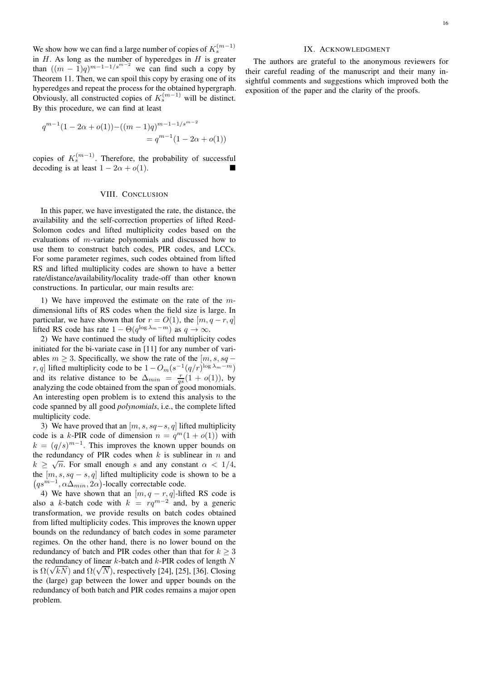We show how we can find a large number of copies of  $K_s^{(m-1)}$ in  $H$ . As long as the number of hyperedges in  $H$  is greater than  $((m - 1)q)^{m-1-1/s^{m-2}}$  we can find such a copy by Theorem [11.](#page-14-3) Then, we can spoil this copy by erasing one of its hyperedges and repeat the process for the obtained hypergraph. Obviously, all constructed copies of  $K_s^{(m-1)}$  will be distinct. By this procedure, we can find at least

$$
q^{m-1}(1 - 2\alpha + o(1)) - ((m - 1)q)^{m-1-1/s^{m-2}}
$$
  
= 
$$
q^{m-1}(1 - 2\alpha + o(1))
$$

copies of  $K_s^{(m-1)}$ . Therefore, the probability of successful decoding is at least  $1 - 2\alpha + o(1)$ .

#### VIII. CONCLUSION

<span id="page-15-0"></span>In this paper, we have investigated the rate, the distance, the availability and the self-correction properties of lifted Reed-Solomon codes and lifted multiplicity codes based on the evaluations of m-variate polynomials and discussed how to use them to construct batch codes, PIR codes, and LCCs. For some parameter regimes, such codes obtained from lifted RS and lifted multiplicity codes are shown to have a better rate/distance/availability/locality trade-off than other known constructions. In particular, our main results are:

1) We have improved the estimate on the rate of the  $m$ dimensional lifts of RS codes when the field size is large. In particular, we have shown that for  $r = O(1)$ , the  $[m, q-r, q]$ lifted RS code has rate  $1 - \Theta(q^{\log \lambda_m - m})$  as  $q \to \infty$ .

2) We have continued the study of lifted multiplicity codes initiated for the bi-variate case in [\[11\]](#page-16-10) for any number of variables  $m \geq 3$ . Specifically, we show the rate of the  $[m, s, sq$ r, q] lifted multiplicity code to be  $1 - O_m(s^{-1}(q/r)^{\log \lambda_m - m})$ and its relative distance to be  $\Delta_{min} = \frac{r}{qs}(1 + o(1))$ , by analyzing the code obtained from the span of good monomials. An interesting open problem is to extend this analysis to the code spanned by all good *polynomials*, i.e., the complete lifted multiplicity code.

3) We have proved that an [ $m, s, sq-s, q$ ] lifted multiplicity code is a k-PIR code of dimension  $n = q^m(1 + o(1))$  with  $k = (q/s)^{m-1}$ . This improves the known upper bounds on the redundancy of PIR codes when  $k$  is sublinear in  $n$  and  $k \geq \sqrt{n}$ . For small enough s and any constant  $\alpha < 1/4$ , the  $[m, s, sq - s, q]$  lifted multiplicity code is shown to be a  $(qs^{m-1}, \alpha \Delta_{min}, 2\alpha)$ -locally correctable code.

4) We have shown that an  $[m, q - r, q]$ -lifted RS code is also a k-batch code with  $k = r q^{m-2}$  and, by a generic transformation, we provide results on batch codes obtained from lifted multiplicity codes. This improves the known upper bounds on the redundancy of batch codes in some parameter regimes. On the other hand, there is no lower bound on the redundancy of batch and PIR codes other than that for  $k \geq 3$ the redundancy of linear  $k$ -batch and  $k$ -PIR codes of length  $N$ is  $\Omega(\sqrt{kN})$  and  $\Omega(\sqrt{N})$ , respectively [\[24\]](#page-16-23), [\[25\]](#page-16-24), [\[36\]](#page-16-35). Closing the (large) gap between the lower and upper bounds on the redundancy of both batch and PIR codes remains a major open problem.

## IX. ACKNOWLEDGMENT

The authors are grateful to the anonymous reviewers for their careful reading of the manuscript and their many insightful comments and suggestions which improved both the exposition of the paper and the clarity of the proofs.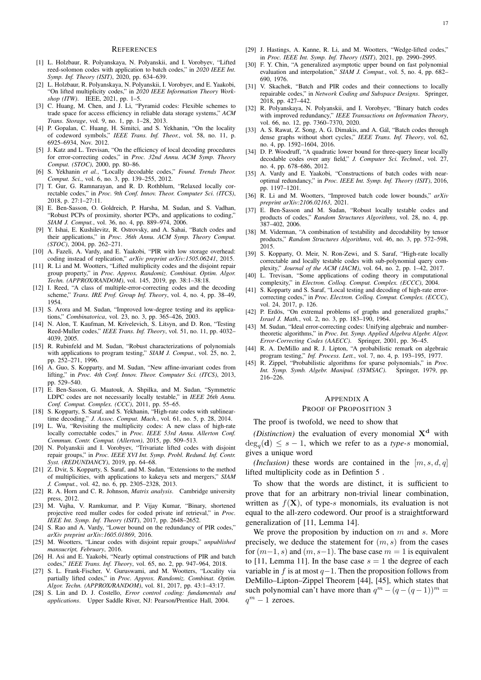#### **REFERENCES**

- <span id="page-16-0"></span>[1] L. Holzbaur, R. Polyanskaya, N. Polyanskii, and I. Vorobyev, "Lifted reed-solomon codes with application to batch codes," in *2020 IEEE Int. Symp. Inf. Theory (ISIT)*, 2020, pp. 634–639.
- <span id="page-16-1"></span>[2] L. Holzbaur, R. Polyanskaya, N. Polyanskii, I. Vorobyev, and E. Yaakobi, "On lifted multiplicity codes," in *2020 IEEE Information Theory Workshop (ITW)*. IEEE, 2021, pp. 1–5.
- <span id="page-16-2"></span>[3] C. Huang, M. Chen, and J. Li, "Pyramid codes: Flexible schemes to trade space for access efficiency in reliable data storage systems," *ACM Trans. Storage*, vol. 9, no. 1, pp. 1–28, 2013.
- <span id="page-16-3"></span>[4] P. Gopalan, C. Huang, H. Simitci, and S. Yekhanin, "On the locality of codeword symbols," *IEEE Trans. Inf. Theor.*, vol. 58, no. 11, p. 6925–6934, Nov. 2012.
- <span id="page-16-4"></span>[5] J. Katz and L. Trevisan, "On the efficiency of local decoding procedures for error-correcting codes," in *Proc. 32nd Annu. ACM Symp. Theory Comput. (STOC)*, 2000, pp. 80–86.
- <span id="page-16-5"></span>[6] S. Yekhanin *et al.*, "Locally decodable codes," *Found. Trends Theor. Comput. Sci.*, vol. 6, no. 3, pp. 139–255, 2012.
- <span id="page-16-6"></span>[7] T. Gur, G. Ramnarayan, and R. D. Rothblum, "Relaxed locally correctable codes," in *Proc. 9th Conf. Innov. Theor. Computer Sci. (ITCS)*, 2018, p. 27:1–27:11.
- <span id="page-16-7"></span>[8] E. Ben-Sasson, O. Goldreich, P. Harsha, M. Sudan, and S. Vadhan, "Robust PCPs of proximity, shorter PCPs, and applications to coding," *SIAM J. Comput.*, vol. 36, no. 4, pp. 889–974, 2006.
- <span id="page-16-8"></span>Y. Ishai, E. Kushilevitz, R. Ostrovsky, and A. Sahai, "Batch codes and their applications," in *Proc. 36th Annu. ACM Symp. Theory Comput. (STOC)*, 2004, pp. 262–271.
- <span id="page-16-9"></span>[10] A. Fazeli, A. Vardy, and E. Yaakobi, "PIR with low storage overhead: coding instead of replication," *arXiv preprint arXiv:1505.06241*, 2015.
- <span id="page-16-10"></span>[11] R. Li and M. Wootters, "Lifted multiplicity codes and the disjoint repair group property," in *Proc. Approx. Randomiz. Combinat. Optim. Algor. Techn. (APPROX/RANDOM)*, vol. 145, 2019, pp. 38:1–38:18.
- <span id="page-16-11"></span>[12] I. Reed, "A class of multiple-error-correcting codes and the decoding scheme," *Trans. IRE Prof. Group Inf. Theory*, vol. 4, no. 4, pp. 38–49, 1954.
- <span id="page-16-12"></span>[13] S. Arora and M. Sudan, "Improved low-degree testing and its applications," *Combinatorica*, vol. 23, no. 3, pp. 365–426, 2003.
- N. Alon, T. Kaufman, M. Krivelevich, S. Litsyn, and D. Ron, "Testing Reed-Muller codes," *IEEE Trans. Inf. Theory*, vol. 51, no. 11, pp. 4032– 4039, 2005.
- <span id="page-16-13"></span>[15] R. Rubinfeld and M. Sudan, "Robust characterizations of polynomials with applications to program testing," *SIAM J. Comput.*, vol. 25, no. 2, pp. 252–271, 1996.
- <span id="page-16-14"></span>[16] A. Guo, S. Kopparty, and M. Sudan, "New affine-invariant codes from lifting," in *Proc. 4th Conf. Innov. Theor. Computer Sci. (ITCS)*, 2013, pp. 529–540.
- <span id="page-16-15"></span>[17] E. Ben-Sasson, G. Maatouk, A. Shpilka, and M. Sudan, "Symmetric LDPC codes are not necessarily locally testable," in *IEEE 26th Annu. Conf. Comput. Complex. (CCC)*, 2011, pp. 55–65.
- <span id="page-16-16"></span>[18] S. Kopparty, S. Saraf, and S. Yekhanin, "High-rate codes with sublineartime decoding," *J. Assoc. Comput. Mach.*, vol. 61, no. 5, p. 28, 2014.
- <span id="page-16-17"></span>L. Wu, "Revisiting the multiplicity codes: A new class of high-rate locally correctable codes," in *Proc. IEEE 53rd Annu. Allerton Conf. Commun. Contr. Comput. (Allerton)*, 2015, pp. 509–513.
- <span id="page-16-18"></span>[20] N. Polyanskii and I. Vorobyev, "Trivariate lifted codes with disjoint repair groups," in *Proc. IEEE XVI Int. Symp. Probl. Redund. Inf. Contr. Syst. (REDUNDANCY)*, 2019, pp. 64–68.
- <span id="page-16-19"></span>[21] Z. Dvir, S. Kopparty, S. Saraf, and M. Sudan, "Extensions to the method of multiplicities, with applications to kakeya sets and mergers," *SIAM J. Comput.*, vol. 42, no. 6, pp. 2305–2328, 2013.
- <span id="page-16-21"></span>[22] R. A. Horn and C. R. Johnson, *Matrix analysis*. Cambridge university press, 2012.
- <span id="page-16-22"></span>[23] M. Vajha, V. Ramkumar, and P. Vijay Kumar, "Binary, shortened projective reed muller codes for coded private inf retrieval," in *Proc. IEEE Int. Symp. Inf. Theory (ISIT)*, 2017, pp. 2648–2652.
- <span id="page-16-23"></span>[24] S. Rao and A. Vardy, "Lower bound on the redundancy of PIR codes," *arXiv preprint arXiv:1605.01869*, 2016.
- <span id="page-16-24"></span>[25] M. Wootters, "Linear codes with disjoint repair groups," *unpublished mansucript, February*, 2016.
- <span id="page-16-25"></span>[26] H. Asi and E. Yaakobi, "Nearly optimal constructions of PIR and batch codes," *IEEE Trans. Inf. Theory*, vol. 65, no. 2, pp. 947–964, 2018.
- <span id="page-16-27"></span>[27] S. L. Frank-Fischer, V. Guruswami, and M. Wootters, "Locality via partially lifted codes," in *Proc. Approx. Randomiz. Combinat. Optim. Algor. Techn. (APPROX/RANDOM)*, vol. 81, 2017, pp. 43:1–43:17.
- <span id="page-16-26"></span>[28] S. Lin and D. J. Costello, *Error control coding: fundamentals and applications*. Upper Saddle River, NJ: Pearson/Prentice Hall, 2004.
- <span id="page-16-28"></span>[29] J. Hastings, A. Kanne, R. Li, and M. Wootters, "Wedge-lifted codes," in *Proc. IEEE Int. Symp. Inf. Theory (ISIT)*, 2021, pp. 2990–2995.
- <span id="page-16-29"></span>[30] F. Y. Chin, "A generalized asymptotic upper bound on fast polynomial evaluation and interpolation," *SIAM J. Comput.*, vol. 5, no. 4, pp. 682– 690, 1976.
- <span id="page-16-30"></span>[31] V. Skachek, "Batch and PIR codes and their connections to locally repairable codes," in *Network Coding and Subspace Designs*. Springer, 2018, pp. 427–442.
- <span id="page-16-31"></span>[32] R. Polyanskaya, N. Polyanskii, and I. Vorobyev, "Binary batch codes with improved redundancy," *IEEE Transactions on Information Theory*, vol. 66, no. 12, pp. 7360–7370, 2020.
- <span id="page-16-32"></span>[33] A. S. Rawat, Z. Song, A. G. Dimakis, and A. Gál, "Batch codes through dense graphs without short cycles," *IEEE Trans. Inf. Theory*, vol. 62, no. 4, pp. 1592–1604, 2016.
- <span id="page-16-33"></span>[34] D. P. Woodruff, "A quadratic lower bound for three-query linear locally decodable codes over any field," *J. Computer Sci. Technol.*, vol. 27, no. 4, pp. 678–686, 2012.
- <span id="page-16-34"></span>[35] A. Vardy and E. Yaakobi, "Constructions of batch codes with nearoptimal redundancy," in *Proc. IEEE Int. Symp. Inf. Theory (ISIT)*, 2016, pp. 1197–1201.
- <span id="page-16-35"></span>[36] R. Li and M. Wootters, "Improved batch code lower bounds," *arXiv preprint arXiv:2106.02163*, 2021.
- <span id="page-16-36"></span>[37] E. Ben-Sasson and M. Sudan, "Robust locally testable codes and products of codes," *Random Structures Algorithms*, vol. 28, no. 4, pp.  $387-402, 2006$
- <span id="page-16-37"></span>[38] M. Viderman, "A combination of testability and decodability by tensor products," *Random Structures Algorithms*, vol. 46, no. 3, pp. 572–598, 2015.
- <span id="page-16-38"></span>[39] S. Kopparty, O. Meir, N. Ron-Zewi, and S. Saraf, "High-rate locally correctable and locally testable codes with sub-polynomial query complexity," *Journal of the ACM (JACM)*, vol. 64, no. 2, pp. 1–42, 2017.
- <span id="page-16-39"></span>[40] L. Trevisan, "Some applications of coding theory in computational complexity," in *Electron. Colloq. Comput. Complex. (ECCC)*, 2004.
- <span id="page-16-40"></span>[41] S. Kopparty and S. Saraf, "Local testing and decoding of high-rate errorcorrecting codes," in *Proc. Electron. Colloq. Comput. Complex. (ECCC)*, vol. 24, 2017, p. 126.
- <span id="page-16-41"></span>[42] P. Erdös, "On extremal problems of graphs and generalized graphs," *Israel J. Math.*, vol. 2, no. 3, pp. 183–190, 1964.
- <span id="page-16-42"></span>[43] M. Sudan, "Ideal error-correcting codes: Unifying algebraic and numbertheoretic algorithms," in *Proc. Int. Symp. Applied Algebra Algebr. Algor. Error-Correcting Codes (AAECC)*. Springer, 2001, pp. 36–45.
- <span id="page-16-43"></span>[44] R. A. DeMillo and R. J. Lipton, "A probabilistic remark on algebraic program testing," *Inf. Process. Lett.*, vol. 7, no. 4, p. 193–195, 1977.
- <span id="page-16-44"></span>[45] R. Zippel, "Probabilistic algorithms for sparse polynomials," in *Proc. Int. Symp. Symb. Algebr. Manipul. (SYMSAC)*. Springer, 1979, pp. 216–226.

## <span id="page-16-20"></span>APPENDIX A

## PROOF OF PROPOSITION [3](#page-4-1)

#### The proof is twofold, we need to show that

*(Distinction)* the evaluation of every monomial  $X<sup>d</sup>$  with  $deg_q(d) \leq s - 1$ , which we refer to as a *type-s* monomial, gives a unique word

*(Inclusion)* these words are contained in the  $[m, s, d, q]$ lifted multiplicity code as in Defintion [5](#page-3-2) .

To show that the words are distinct, it is sufficient to prove that for an arbitrary non-trivial linear combination, written as  $f(\mathbf{X})$ , of type-s monomials, its evaluation is not equal to the all-zero codeword. Our proof is a straightforward generalization of [\[11,](#page-16-10) Lemma 14].

We prove the proposition by induction on  $m$  and  $s$ . More precisely, we deduce the statement for  $(m, s)$  from the cases for  $(m-1, s)$  and  $(m, s-1)$ . The base case  $m = 1$  is equivalent to [\[11,](#page-16-10) Lemma 11]. In the base case  $s = 1$  the degree of each variable in f is at most  $q-1$ . Then the proposition follows from DeMillo–Lipton–Zippel Theorem [\[44\]](#page-16-43), [\[45\]](#page-16-44), which states that such polynomial can't have more than  $q^m - (q - (q - 1))^m =$  $q^m-1$  zeroes.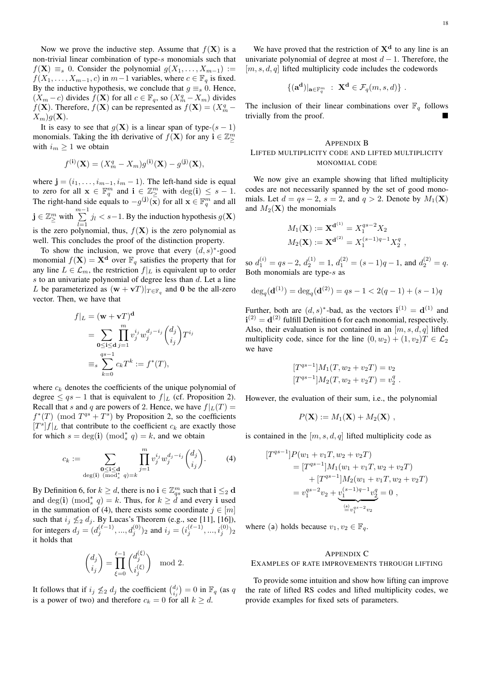Now we prove the inductive step. Assume that  $f(\mathbf{X})$  is a non-trivial linear combination of type-s monomials such that  $f(\mathbf{X}) \equiv_s 0$ . Consider the polynomial  $g(X_1, \ldots, X_{m-1}) :=$  $f(X_1, \ldots, X_{m-1}, c)$  in  $m-1$  variables, where  $c \in \mathbb{F}_q$  is fixed. By the inductive hypothesis, we conclude that  $g \equiv_s 0$ . Hence,  $(X_m - c)$  divides  $f(\mathbf{X})$  for all  $c \in \mathbb{F}_q$ , so  $(X_m^q - X_m)$  divides  $f(\mathbf{X})$ . Therefore,  $f(\mathbf{X})$  can be represented as  $f(\mathbf{X}) = (X_m^q - \mathbf{X})$  $(X_m)g(\mathbf{X}).$ 

It is easy to see that  $g(X)$  is a linear span of type- $(s - 1)$ monomials. Taking the ith derivative of  $f(\mathbf{X})$  for any  $\mathbf{i} \in \mathbb{Z}_{\geq}^m$ ≥ with  $i_m \geq 1$  we obtain

$$
f^{(i)}(\mathbf{X}) = (X_m^q - X_m)g^{(i)}(\mathbf{X}) - g^{(j)}(\mathbf{X}),
$$

where  $\mathbf{j} = (i_1, \dots, i_{m-1}, i_m - 1)$ . The left-hand side is equal to zero for all  $\mathbf{x} \in \mathbb{F}_q^m$  and  $\mathbf{i} \in \mathbb{Z}_2^m$  with  $\deg(\mathbf{i}) \leq s - 1$ . The right-hand side equals to  $-g^{(\mathbf{j})}(\mathbf{x})$  for all  $\mathbf{x} \in \mathbb{F}_q^m$  and all  $\mathbf{j} \in \mathbb{Z}_{\geq}^m$  with  $\sum_{l=1}^{m-1}$  $\sum_{l=1}^{n} j_l < s-1$ . By the induction hypothesis  $g(\mathbf{X})$ is the zero polynomial, thus,  $f(\mathbf{X})$  is the zero polynomial as well. This concludes the proof of the distinction property.

To show the inclusion, we prove that every  $(d, s)^*$ -good monomial  $f(\mathbf{X}) = \mathbf{X}^{\mathbf{d}}$  over  $\mathbb{F}_q$  satisfies the property that for any line  $L \in \mathcal{L}_m$ , the restriction  $f|_L$  is equivalent up to order  $s$  to an univariate polynomial of degree less than  $d$ . Let a line L be parameterized as  $(\mathbf{w} + \mathbf{v}T)|_{T \in \mathbb{F}_q}$  and 0 be the all-zero vector. Then, we have that

$$
f|_L = (\mathbf{w} + \mathbf{v}T)^{\mathbf{d}}
$$
  
= 
$$
\sum_{\substack{\mathbf{0} \leq \mathbf{i} \leq \mathbf{d} \\ j=1}} \prod_{j=1}^m v_j^{i_j} w_j^{d_j - i_j} {d_j \choose i_j} T^{i_j}
$$
  
= 
$$
\sum_{k=0}^{qs-1} c_k T^k := f^*(T),
$$

where  $c_k$  denotes the coefficients of the unique polynomial of degree  $\leq qs - 1$  that is equivalent to  $f|_L$  (cf. Proposition [2\)](#page-3-4). Recall that s and q are powers of 2. Hence, we have  $f|_L(T) =$  $f^*(T)$  (mod  $T^{qs} + T^s$ ) by Proposition [2,](#page-3-4) so the coefficients  $[T<sup>s</sup>]f|<sub>L</sub>$  that contribute to the coefficient  $c_k$  are exactly those for which  $s = \deg(i) \pmod{s}$   $q = k$ , and we obtain

$$
c_k := \sum_{\substack{\mathbf{0} \le \mathbf{i} \le \mathbf{d} \\ \deg(\mathbf{i}) \ (\bmod_s^* \ q) = k}} \prod_{j=1}^m v_j^{i_j} w_j^{d_j - i_j} \binom{d_j}{i_j}.
$$
 (4)

By Definition [6,](#page-4-4) for  $k \ge d$ , there is no  $\mathbf{i} \in \mathbb{Z}_{qs}^m$  such that  $\mathbf{i} \le 2 \mathbf{d}$ and deg(i)  $\pmod{s}$   $q$  = k. Thus, for  $k \geq d$  and every i used in the summation of [\(4\)](#page-17-1), there exists some coordinate  $j \in [m]$ such that  $i_j \nleq_2 d_j$ . By Lucas's Theorem (e.g., see [\[11\]](#page-16-10), [\[16\]](#page-16-14)), for integers  $d_j = (d_j^{(\ell-1)}, ..., d_j^{(0)})_2$  and  $i_j = (i_j^{(\ell-1)}, ..., i_j^{(0)})_2$ it holds that

$$
\binom{d_j}{i_j} = \prod_{\xi=0}^{\ell-1} \binom{d_j^{(\xi)}}{i_j^{(\xi)}} \mod 2.
$$

It follows that if  $i_j \not\leq_2 d_j$  the coefficient  $\binom{d_j}{i_j} = 0$  in  $\mathbb{F}_q$  (as q is a power of two) and therefore  $c_k = 0$  for all  $k \geq d$ .

We have proved that the restriction of  $X<sup>d</sup>$  to any line is an univariate polynomial of degree at most  $d-1$ . Therefore, the  $[m, s, d, q]$  lifted multiplicity code includes the codewords

<span id="page-17-0"></span>
$$
\{(\mathbf{a}^{\mathbf{d}})|_{\mathbf{a}\in\mathbb{F}_q^m} : \mathbf{X}^{\mathbf{d}} \in \mathcal{F}_q(m,s,d)\} .
$$

The inclusion of their linear combinations over  $\mathbb{F}_q$  follows trivially from the proof.

## APPENDIX B LIFTED MULTIPLICITY CODE AND LIFTED MULTIPLICITY MONOMIAL CODE

We now give an example showing that lifted multiplicity codes are not necessarily spanned by the set of good monomials. Let  $d = qs - 2$ ,  $s = 2$ , and  $q > 2$ . Denote by  $M_1(\mathbf{X})$ and  $M_2(\mathbf{X})$  the monomials

$$
M_1(\mathbf{X}) := \mathbf{X}^{d^{(1)}} = X_1^{qs-2} X_2
$$
  

$$
M_2(\mathbf{X}) := \mathbf{X}^{d^{(2)}} = X_1^{(s-1)q-1} X_2^q
$$

,

so  $d_1^{(i)} = qs - 2$ ,  $d_2^{(1)} = 1$ ,  $d_1^{(2)} = (s - 1)q - 1$ , and  $d_2^{(2)} = q$ . Both monomials are type-s as

$$
\deg_q(\mathbf{d}^{(1)}) = \deg_q(\mathbf{d}^{(2)}) = qs - 1 < 2(q - 1) + (s - 1)q
$$

Further, both are  $(d, s)^*$ -bad, as the vectors  $\mathbf{i}^{(1)} = \mathbf{d}^{(1)}$  and  $\mathbf{i}^{(2)} = \mathbf{d}^{(2)}$  fulfill Definition [6](#page-4-4) for each monomial, respectively. Also, their evaluation is not contained in an  $[m, s, d, q]$  lifted multiplicity code, since for the line  $(0, w_2) + (1, v_2)T \in \mathcal{L}_2$ we have

$$
[T^{qs-1}]M_1(T, w_2 + v_2T) = v_2
$$
  

$$
[T^{qs-1}]M_2(T, w_2 + v_2T) = v_2^q.
$$

However, the evaluation of their sum, i.e., the polynomial

$$
P(\mathbf{X}) := M_1(\mathbf{X}) + M_2(\mathbf{X}),
$$

<span id="page-17-1"></span>is contained in the  $[m, s, d, q]$  lifted multiplicity code as

$$
[T^{qs-1}]P(w_1 + v_1T, w_2 + v_2T)
$$
  
=  $[T^{qs-1}]M_1(w_1 + v_1T, w_2 + v_2T)$   
+  $[T^{qs-1}]M_2(w_1 + v_1T, w_2 + v_2T)$   
=  $v_1^{qs-2}v_2 + \underbrace{v_1^{(s-1)q-1}v_2^q}_{\stackrel{(a)}{=} v_1^{qs-2}v_2} = 0$ ,

where (a) holds because  $v_1, v_2 \in \mathbb{F}_q$ .

#### APPENDIX C

#### EXAMPLES OF RATE IMPROVEMENTS THROUGH LIFTING

To provide some intuition and show how lifting can improve the rate of lifted RS codes and lifted multiplicity codes, we provide examples for fixed sets of parameters.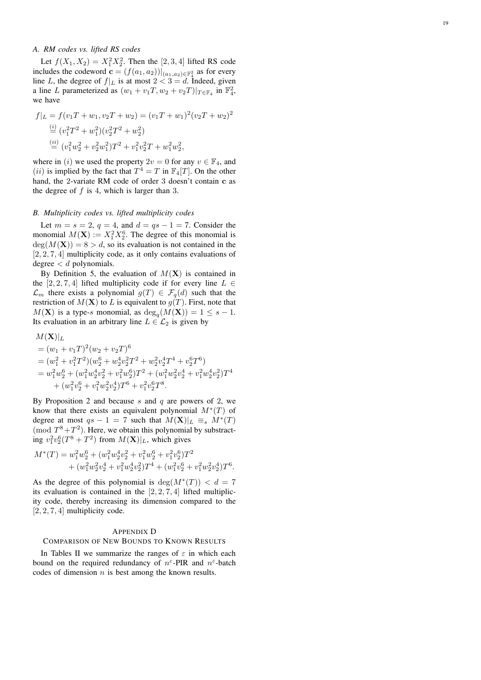## <span id="page-18-0"></span>*A. RM codes vs. lifted RS codes*

Let  $f(X_1, X_2) = X_1^2 X_2^2$ . Then the [2, 3, 4] lifted RS code includes the codeword  $\mathbf{c} = (f(a_1, a_2))|_{(a_1, a_2) \in \mathbb{F}_4^2}$  as for every line L, the degree of  $f|_L$  is at most  $2 < 3 = d$ . Indeed, given a line L parameterized as  $(w_1 + v_1T, w_2 + v_2T)|_{T \in \mathbb{F}_4}$  in  $\mathbb{F}_4^2$ , we have

$$
f|_L = f(v_1T + w_1, v_2T + w_2) = (v_1T + w_1)^2(v_2T + w_2)^2
$$
  
\n
$$
\stackrel{(i)}{=} (v_1^2T^2 + w_1^2)(v_2^2T^2 + w_2^2)
$$
  
\n
$$
\stackrel{(ii)}{=} (v_1^2w_2^2 + v_2^2w_1^2)T^2 + v_1^2v_2^2T + w_1^2w_2^2,
$$

where in (*i*) we used the property  $2v = 0$  for any  $v \in \mathbb{F}_4$ , and (*ii*) is implied by the fact that  $T^4 = T$  in  $\mathbb{F}_4[T]$ . On the other hand, the 2-variate RM code of order 3 doesn't contain c as the degree of  $f$  is 4, which is larger than 3.

#### <span id="page-18-1"></span>*B. Multiplicity codes vs. lifted multiplicity codes*

Let  $m = s = 2$ ,  $q = 4$ , and  $d = qs - 1 = 7$ . Consider the monomial  $M(\mathbf{X}) := X_1^2 X_2^6$ . The degree of this monomial is  $deg(M(\mathbf{X})) = 8 > d$ , so its evaluation is not contained in the [2, 2, 7, 4] multiplicity code, as it only contains evaluations of degree  $\langle d \rangle$  polynomials.

By Definition [5,](#page-3-2) the evaluation of  $M(X)$  is contained in the [2, 2, 7, 4] lifted multiplicity code if for every line  $L \in$  $\mathcal{L}_m$  there exists a polynomial  $g(T) \in \mathcal{F}_q(d)$  such that the restriction of  $M(\mathbf{X})$  to L is equivalent to  $g(T)$ . First, note that  $M(\mathbf{X})$  is a type-s monomial, as  $\deg_q(M(\mathbf{X})) = 1 \leq s - 1$ . Its evaluation in an arbitrary line  $L \in \mathcal{L}_2$  is given by

$$
M(\mathbf{X})|_{L}
$$
  
=  $(w_1 + v_1T)^2 (w_2 + v_2T)^6$   
=  $(w_1^2 + v_1^2T^2)(w_2^6 + w_2^4v_2^2T^2 + w_2^2v_2^4T^4 + v_2^6T^6)$   
=  $w_1^2 w_2^6 + (w_1^2 w_2^4 v_2^2 + v_1^2 w_2^6) T^2 + (w_1^2 w_2^2 v_2^4 + v_1^2 w_2^4 v_2^2) T^4$   
+  $(w_1^2 v_2^6 + v_1^2 w_2^2 v_2^4) T^6 + v_1^2 v_2^6 T^8.$ 

By Proposition [2](#page-3-4) and because  $s$  and  $q$  are powers of 2, we know that there exists an equivalent polynomial  $M^*(T)$  of degree at most  $qs - 1 = 7$  such that  $M(\mathbf{X})|_{L} \equiv_s M^*(T)$ (mod  $T^8 + T^2$ ). Here, we obtain this polynomial by substracting  $v_1^2v_2^6(T^8+T^2)$  from  $M(\mathbf{X})|_L$ , which gives

$$
M^*(T) = w_1^2 w_2^6 + (w_1^2 w_2^4 v_2^2 + v_1^2 w_2^6 + v_1^2 v_2^6) T^2
$$
  
+ 
$$
(w_1^2 w_2^2 v_2^4 + v_1^2 w_2^4 v_2^2) T^4 + (w_1^2 v_2^6 + v_1^2 w_2^2 v_2^4) T^6.
$$

As the degree of this polynomial is  $deg(M^*(T)) < d = 7$ its evaluation is contained in the  $[2, 2, 7, 4]$  lifted multiplicity code, thereby increasing its dimension compared to the  $[2, 2, 7, 4]$  multiplicity code.

#### <span id="page-18-2"></span>APPENDIX D

#### COMPARISON OF NEW BOUNDS TO KNOWN RESULTS

In Tables [II](#page-19-0) we summarize the ranges of  $\varepsilon$  in which each bound on the required redundancy of  $n^{\epsilon}$ -PIR and  $n^{\epsilon}$ -batch codes of dimension  $n$  is best among the known results.